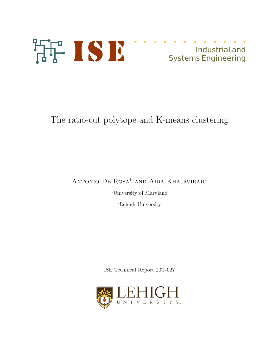

# Industrial and Systems Engineering

# The ratio-cut polytope and K-means clustering

## ANTONIO DE ROSA<sup>1</sup> AND AIDA KHAJAVIRAD<sup>2</sup>

<sup>1</sup>University of Maryland

<sup>2</sup>Lehigh University

ISE Technical Report 20T-027

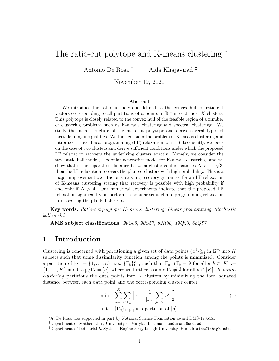## The ratio-cut polytope and K-means clustering  $*$

Antonio De Rosa † Aida Khajavirad ‡

November 19, 2020

#### Abstract

We introduce the ratio-cut polytope defined as the convex hull of ratio-cut vectors corresponding to all partitions of  $n$  points in  $\mathbb{R}^m$  into at most K clusters. This polytope is closely related to the convex hull of the feasible region of a number of clustering problems such as K-means clustering and spectral clustering. We study the facial structure of the ratio-cut polytope and derive several types of facet-defining inequalities. We then consider the problem of K-means clustering and introduce a novel linear programming (LP) relaxation for it. Subsequently, we focus on the case of two clusters and derive sufficient conditions under which the proposed LP relaxation recovers the underlying clusters exactly. Namely, we consider the stochastic ball model, a popular generative model for K-means clustering, and we show that if the separation distance between cluster centers satisfies  $\Delta > 1 + \sqrt{3}$ , then the LP relaxation recovers the planted clusters with high probability. This is a major improvement over the only existing recovery guarantee for an LP relaxation of K-means clustering stating that recovery is possible with high probability if and only if  $\Delta > 4$ . Our numerical experiments indicate that the proposed LP relaxation significantly outperforms a popular semidefinite programming relaxation in recovering the planted clusters.

Key words. Ratio-cut polytope; K-means clustering; Linear programming, Stochastic ball model.

AMS subject classifications. 90C05, 90C57, 62H30, 49Q20, 68Q87.

## 1 Introduction

Clustering is concerned with partitioning a given set of data points  $\{x^i\}_{i=1}^n$  in  $\mathbb{R}^m$  into K subsets such that some dissimilarity function among the points is minimized. Consider a partition of  $[n] := \{1, \ldots, n\}$ ; i.e.,  $\{\Gamma_k\}_{k=1}^K$  such that  $\Gamma_a \cap \Gamma_b = \emptyset$  for all  $a, b \in [K] :=$  $\{1,\ldots,K\}$  and  $\cup_{k\in[K]} \Gamma_k = [n]$ , where we further assume  $\Gamma_k \neq \emptyset$  for all  $k \in [K]$ . *K-means clustering* partitions the data points into  $K$  clusters by minimizing the total squared distance between each data point and the corresponding cluster center:

$$
\min \sum_{k=1}^{K} \sum_{i \in \Gamma_k} \left\| x^i - \frac{1}{|\Gamma_k|} \sum_{j \in \Gamma_k} x^j \right\|_2^2
$$
\n
$$
\text{s.t. } \{\Gamma_k\}_{k \in [K]} \text{ is a partition of } [n]. \tag{1}
$$

<sup>∗</sup>A. De Rosa was supported in part by National Science Foundation award DMS-1906451.

<sup>†</sup>Department of Mathematics, University of Maryland. E-mail: anderosa@umd.edu.

<sup>‡</sup>Department of Industrial & Systems Engineering, Lehigh University. E-mail: aida@lehigh.edu.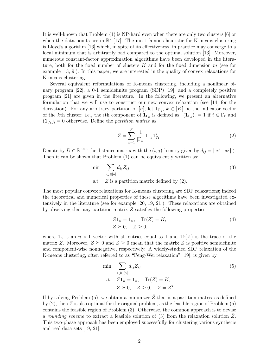It is well-known that Problem (1) is NP-hard even when there are only two clusters [6] or when the data points are in  $\mathbb{R}^2$  [17]. The most famous heuristic for K-means clustering is Lloyd's algorithm [16] which, in spite of its effectiveness, in practice may converge to a local minimum that is arbitrarily bad compared to the optimal solution [13]. Moreover, numerous constant-factor approximation algorithms have been developed in the literature, both for the fixed number of clusters  $K$  and for the fixed dimension  $m$  (see for example [13, 9]). In this paper, we are interested in the quality of convex relaxations for K-means clustering.

Several equivalent reformulations of K-means clustering, including a nonlinear binary program [22], a 0-1 semidefinite program (SDP) [19], and a completely positive program [21] are given in the literature. In the following, we present an alternative formulation that we will use to construct our new convex relaxation (see [14] for the derivation). For any arbitrary partition of [n], let  $\mathbf{1}_{\Gamma_k}$ ,  $k \in [K]$  be the indicator vector of the kth cluster; i.e., the *i*th component of  $\mathbf{1}_{\Gamma_k}$  is defined as:  $(\mathbf{1}_{\Gamma_k})_i = 1$  if  $i \in \Gamma_k$  and  $(\mathbf{1}_{\Gamma_k})_i = 0$  otherwise. Define the partition matrix as

$$
Z = \sum_{k=1}^{K} \frac{1}{|\Gamma_k|} \mathbf{1}_{\Gamma_k} \mathbf{1}_{\Gamma_k}^T.
$$
 (2)

Denote by  $D \in \mathbb{R}^{n \times n}$  the distance matrix with the  $(i, j)$ th entry given by  $d_{ij} = ||x^i - x^j||_2^2$ . Then it can be shown that Problem  $(1)$  can be equivalently written as:

$$
\min \sum_{i,j \in [n]} d_{ij} Z_{ij}
$$
\n
$$
\text{s.t.} \quad Z \text{ is a partition matrix defined by (2)}.
$$
\n(3)

The most popular convex relaxations for K-means clustering are SDP relaxations; indeed the theoretical and numerical properties of these algorithms have been investigated extensively in the literature (see for example [20, 19, 21]). These relaxations are obtained by observing that any partition matrix  $Z$  satisfies the following properties:

$$
Z\mathbf{1}_n = \mathbf{1}_n, \quad \text{Tr}(Z) = K,
$$
  
\n
$$
Z \succeq 0, \quad Z \ge 0,
$$
\n
$$
(4)
$$

where  $\mathbf{1}_n$  is an  $n \times 1$  vector with all entries equal to 1 and Tr(Z) is the trace of the matrix Z. Moreover,  $Z \succeq 0$  and  $Z \geq 0$  mean that the matrix Z is positive semidefinite and component-wise nonnegative, respectively. A widely-studied SDP relaxation of the K-means clustering, often referred to as "Peng-Wei relaxation" [19], is given by

$$
\min \sum_{i,j \in [n]} d_{ij} Z_{ij}
$$
\n
$$
\text{s.t.} \quad Z\mathbf{1}_n = \mathbf{1}_n, \quad \text{Tr}(Z) = K,
$$
\n
$$
Z \succeq 0, \quad Z \ge 0, \quad Z = Z^T.
$$
\n
$$
(5)
$$

If by solving Problem (5), we obtain a minimizer  $\bar{Z}$  that is a partition matrix as defined by  $(2)$ , then  $\overline{Z}$  is also optimal for the original problem, as the feasible region of Problem  $(5)$ contains the feasible region of Problem (3). Otherwise, the common approach is to devise a rounding scheme to extract a feasible solution of  $(3)$  from the relaxation solution Z. This two-phase approach has been employed successfully for clustering various synthetic and real data sets [19, 21].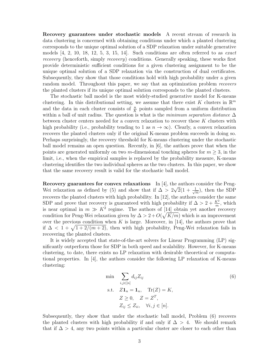Recovery guarantees under stochastic models A recent stream of research in data clustering is concerned with obtaining conditions under which a planted clustering corresponds to the unique optimal solution of a SDP relaxation under suitable generative models  $\begin{bmatrix} 4, 2, 10, 18, 12, 5, 3, 15, 14 \end{bmatrix}$ . Such conditions are often referred to as *exact* recovery (henceforth, simply recovery) conditions. Generally speaking, these works first provide deterministic sufficient conditions for a given clustering assignment to be the unique optimal solution of a SDP relaxation via the construction of dual certificates. Subsequently, they show that those conditions hold with high probability under a given random model. Throughout this paper, we say that an optimization problem recovers the planted clusters if its unique optimal solution corresponds to the planted clusters.

The stochastic ball model is the most widely-studied generative model for K-means clustering. In this distributional setting, we assume that there exist K clusters in  $\mathbb{R}^m$ and the data in each cluster consists of  $\frac{n}{K}$  points sampled from a uniform distribution within a ball of unit radius. The question is what is the minimum separation distance  $\Delta$ between cluster centers needed for a convex relaxation to recover these K clusters with high probability (i.e., probability tending to 1 as  $n \to \infty$ ). Clearly, a convex relaxation recovers the planted clusters only if the original K-means problem succeeds in doing so. Perhaps surprisingly, the recovery threshold for K-means clustering under the stochastic ball model remains an open question. Recently, in [6], the authors prove that when the points are generated uniformly on two m-dimensional touching spheres for  $m \geq 3$ , in the limit, i.e., when the empirical samples is replaced by the probability measure, K-means clustering identifies the two individual spheres as the two clusters. In this paper, we show that the same recovery result is valid for the stochastic ball model.

Recovery guarantees for convex relaxations In  $[4]$ , the authors consider the Peng-Wei relaxation as defined by (5) and show that if  $\Delta > 2\sqrt{2}(1 + \frac{1}{\sqrt{2}})$  $\frac{1}{m}$ , then the SDP recovers the planted clusters with high probability. In [12], the authors consider the same SDP and prove that recovery is guaranteed with high probability if  $\Delta > 2 + \frac{K^2}{m}$ , which is near optimal in  $m \gg K^2$  regime. The authors of  $[14]$  obtain yet another recovery condition for Peng-Wei relaxation given by  $\Delta > 2 + O(\sqrt{K/m})$  which is an improvement over the previous condition when K is large. Moreover, in [14], the authors prove that if  $\Delta < 1 + \sqrt{1 + 2/(m+2)}$ , then with high probability, Peng-Wei relaxation fails in recovering the planted clusters.

It is widely accepted that state-of-the-art solvers for Linear Programming (LP) significantly outperform those for SDP in both speed and scalability. However, for K-means clustering, to date, there exists no LP relaxation with desirable theoretical or computational properties. In [4], the authors consider the following LP relaxation of K-means clustering:

$$
\min \sum_{i,j \in [n]} d_{ij} Z_{ij}
$$
\n
$$
\text{s.t.} \quad Z\mathbf{1}_n = \mathbf{1}_n, \quad \text{Tr}(Z) = K,
$$
\n
$$
Z \ge 0, \quad Z = Z^T,
$$
\n
$$
Z_{ij} \le Z_{ii}, \quad \forall i, j \in [n].
$$
\n
$$
(6)
$$

Subsequently, they show that under the stochastic ball model, Problem (6) recovers the planted clusters with high probability if and only if  $\Delta > 4$ . We should remark that if  $\Delta > 4$ , any two points within a particular cluster are closer to each other than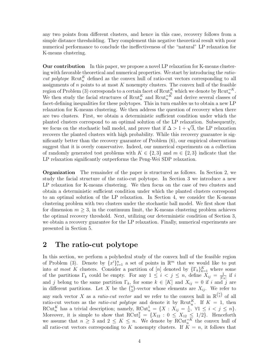any two points from different clusters, and hence in this case, recovery follows from a simple distance thresholding. They complement this negative theoretical result with poor numerical performance to conclude the ineffectiveness of the "natural" LP relaxation for K-means clustering.

Our contribution In this paper, we propose a novel LP relaxation for K-means clustering with favorable theoretical and numerical properties. We start by introducing the ratiocut polytope  $\text{Rcut}_{n}^{K}$  defined as the convex hull of ratio-cut vectors corresponding to all assignments of  $n$  points to at most  $K$  nonempty clusters. The convex hull of the feasible region of Problem (3) corresponds to a certain facet of  $\text{Rcut}_{n}^{K}$  which we denote by  $\text{Rcut}_{n}^{\equiv K}$ . We then study the facial structures of  $\text{Rcut}_n^K$  and  $\text{Rcut}_n^{=K}$  and derive several classes of facet-defining inequalities for these polytopes. This in turn enables us to obtain a new LP relaxation for K-means clustering. We then address the question of recovery when there are two clusters. First, we obtain a deterministic sufficient condition under which the planted clusters correspond to an optimal solution of the LP relaxation. Subsequently, we focus on the stochastic ball model, and prove that if  $\Delta > 1 + \sqrt{3}$ , the LP relaxation recovers the planted clusters with high probability. While this recovery guarantee is significantly better than the recovery guarantee of Problem (6), our empirical observations suggest that it is overly conservative. Indeed, our numerical experiments on a collection of randomly generated test problems with  $K \in \{2,3\}$  and  $m \in \{2,3\}$  indicate that the LP relaxation significantly outperforms the Peng-Wei SDP relaxation.

Organization The remainder of the paper is structured as follows. In Section 2, we study the facial structure of the ratio-cut polytope. In Section 3 we introduce a new LP relaxation for K-means clustering. We then focus on the case of two clusters and obtain a deterministic sufficient condition under which the planted clusters correspond to an optimal solution of the LP relaxation. In Section 4, we consider the K-means clustering problem with two clusters under the stochastic ball model. We first show that for dimension  $m \geq 3$ , in the continuum limit, the K-means clustering problem achieves the optimal recovery threshold. Next, utilizing our deterministic condition of Section 3, we obtain a recovery guarantee for the LP relaxation. Finally, numerical experiments are presented in Section 5.

### 2 The ratio-cut polytope

In this section, we perform a polyhedral study of the convex hull of the feasible region of Problem (3). Denote by  $\{x^i\}_{i=1}^n$  a set of points in  $\mathbb{R}^m$  that we would like to put into at most K clusters. Consider a partition of [n] denoted by  $\{\Gamma_k\}_{k=1}^K$  where some of the partitions  $\Gamma_k$  could be empty. For any  $1 \leq i \leq j \leq n$ , define  $X_{ij} = \frac{1}{|\Gamma_i|}$  $\frac{1}{|\Gamma_k|}$  if *i* and j belong to the same partition  $\Gamma_k$ , for some  $k \in [K]$  and  $X_{ij} = 0$  if i and j are in different partitions. Let X be the  $\binom{n}{2}$  $\sum_{i=2}^{n}$ -vector whose elements are  $X_{ij}$ . We refer to any such vector X as a *ratio-cut vector* and we refer to the convex hull in  $\mathbb{R}^{n \choose 2}$  of all ratio-cut vectors as the *ratio-cut polytope* and denote it by Rcut<sup>K</sup>. If  $K = 1$ , then RCut<sup>K</sup> has a trivial description; namely, RCut<sup>1</sup><sub>n</sub> = {X :  $X_{ij} = \frac{1}{n}$  $\frac{1}{n}, \ \forall 1 \leq i \leq j \leq n$ . Moreover, it is simple to show that  $RCut_2^2 = \{X_{12} : 0 \leq X_{12} \leq 1/2\}$ . Henceforth we assume that  $n \geq 3$  and  $2 \leq K \leq n$ . We denote by RCut<sub>n</sub><sup>IK</sup> the convex hull of all ratio-cut vectors corresponding to K nonempty clusters. If  $K = n$ , it follows that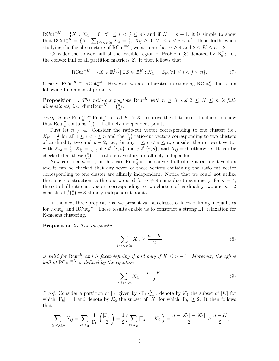$\text{RCut}_{n}^{\equiv K} = \{X : X_{ij} = 0, \forall 1 \leq i < j \leq n\}$  and if  $K = n - 1$ , it is simple to show that RCut<sup> $=K$ </sup> = {X :  $\sum_{1 \le i < j \le n} X_{ij} = \frac{1}{2}$  $\frac{1}{2}$ ,  $X_{ij} \geq 0$ ,  $\forall 1 \leq i < j \leq n$ . Henceforth, when studying the facial structure of RCut<sup> $=K$ </sup>, we assume that  $n \geq 4$  and  $2 \leq K \leq n-2$ .

Consider the convex hull of the feasible region of Problem (3) denoted by  $\mathcal{Z}_n^K$ ; i.e., the convex hull of all partition matrices Z. It then follows that

$$
\text{RCut}_{n}^{\equiv K} = \{ X \in \mathbb{R}^{\binom{n}{2}} \mid \exists Z \in \mathcal{Z}_{n}^{K} : X_{ij} = Z_{ij}, \forall 1 \le i < j \le n \}. \tag{7}
$$

Clearly, RCut<sup>K</sup>  $\supset \text{RCut}_n^{\equiv K}$ . However, we are interested in studying RCut<sup>K</sup> due to its following fundamental property.

**Proposition 1.** The ratio-cut polytope Rcut<sub>n</sub><sup>K</sup> with  $n \geq 3$  and  $2 \leq K \leq n$  is fulldimensional; i.e.,  $\dim(\mathrm{Rcut}_n^K) = \binom{n}{2}$  $\binom{n}{2}$ .

*Proof.* Since Rcut<sup>K</sup>  $\subset \text{Rcut}_n^{K'}$  for all  $K' > K$ , to prove the statement, it suffices to show that Rcut<sub>n</sub><sup>2</sup> contains  $\binom{n}{2}$  $\binom{n}{2}+1$  affinely independent points.

First let  $n \neq 4$ . Consider the ratio-cut vector corresponding to one cluster; i.e.,  $X_{ij}=\frac{1}{n}$  $\frac{1}{n}$  for all  $1 \leq i < j \leq n$  and the  $\binom{n}{2}$  $n_2$ ) ratio-cut vectors corresponding to two clusters of cardinality two and  $n-2$ ; i.e., for any  $1 \leq r < s \leq n$ , consider the ratio-cut vector with  $X_{rs} = \frac{1}{2}$  $\frac{1}{2}$ ,  $X_{ij} = \frac{1}{n-1}$  $\frac{1}{n-2}$  if  $i \notin \{r, s\}$  and  $j \notin \{r, s\}$ , and  $X_{ij} = 0$ , otherwise. It can be checked that these  $\binom{n}{2}$  $\binom{n}{2}+1$  ratio-cut vectors are affinely independent.

Now consider  $n = 4$ ; in this case  $\text{Rcut}_4^2$  is the convex hull of eight ratio-cut vectors and it can be checked that any seven of these vectors containing the ratio-cut vector corresponding to one cluster are affinely independent. Notice that we could not utilize the same construction as the one we used for  $n \neq 4$  since due to symmetry, for  $n = 4$ , the set of all ratio-cut vectors corresponding to two clusters of cardinality two and  $n-2$  consists of  $\frac{1}{2} {n \choose 2} = 3$  affinely independent points. consists of  $\frac{1}{2} \binom{n}{2}$  $\binom{n}{2} = 3$  affinely independent points.

In the next three propositions, we present various classes of facet-defining inequalities for Rcut<sup>K</sup><sub>n</sub> and RCut<sup> $=$ K</sup>. These results enable us to construct a strong LP relaxation for K-means clustering.

Proposition 2. The inequality

$$
\sum_{1 \le i < j \le n} X_{ij} \ge \frac{n - K}{2} \tag{8}
$$

is valid for  $\text{Rcut}_n^K$  and is facet-defining if and only if  $K \leq n-1$ . Moreover, the affine hull of  $\text{RCut}_n^{\equiv K}$  is defined by the equation

$$
\sum_{1 \le i < j \le n} X_{ij} = \frac{n - K}{2}.\tag{9}
$$

*Proof.* Consider a partition of [n] given by  $\{\Gamma_k\}_{k=1}^K$ ; denote by  $\mathcal{K}_1$  the subset of [K] for which  $|\Gamma_k| = 1$  and denote by  $\mathcal{K}_2$  the subset of  $[K]$  for which  $|\Gamma_k| \geq 2$ . It then follows that

$$
\sum_{1 \leq i < j \leq n} X_{ij} = \sum_{k \in \mathcal{K}_2} \frac{1}{|\Gamma_k|} \binom{|\Gamma_k|}{2} = \frac{1}{2} \left( \sum_{k \in \mathcal{K}_2} |\Gamma_k| - |\mathcal{K}_2| \right) = \frac{n - |\mathcal{K}_1| - |\mathcal{K}_2|}{2} \geq \frac{n - K}{2},
$$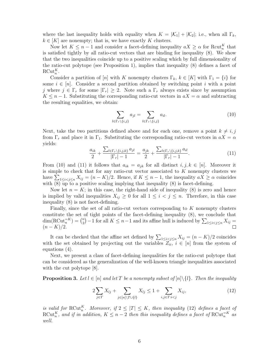where the last inequality holds with equality when  $K = |\mathcal{K}_1| + |\mathcal{K}_2|$ ; i.e., when all  $\Gamma_k$ ,  $k \in [K]$  are nonempty; that is, we have exactly K clusters.

Now let  $K \leq n-1$  and consider a facet-defining inequality  $aX \geq \alpha$  for Rcut<sub>n</sub><sup>K</sup> that is satisfied tightly by all ratio-cut vectors that are binding for inequality (8). We show that the two inequalities coincide up to a positive scaling which by full dimensionality of the ratio-cut polytope (see Proposition 1), implies that inequality (8) defines a facet of  $\mathrm{RCut}_n^K$ .

Consider a partition of [n] with K nonempty clusters  $\Gamma_k$ ,  $k \in [K]$  with  $\Gamma_1 = \{i\}$  for some  $i \in [n]$ . Consider a second partition obtained by switching point i with a point j where  $j \in \Gamma_r$  for some  $|\Gamma_r| \geq 2$ . Note such a  $\Gamma_r$  always exists since by assumption  $K \leq n-1$ . Substituting the corresponding ratio-cut vectors in  $aX = \alpha$  and subtracting the resulting equalities, we obtain:

$$
\sum_{l \in \Gamma_r \setminus \{i,j\}} a_{jl} = \sum_{l \in \Gamma_r \setminus \{i,j\}} a_{il}.\tag{10}
$$

Next, take the two partitions defined above and for each one, remove a point  $k \neq i, j$ from  $\Gamma_r$  and place it in  $\Gamma_1$ . Substituting the corresponding ratio-cut vectors in  $aX = \alpha$ yields:

$$
\frac{a_{ik}}{2} + \frac{\sum_{l \in \Gamma_r \setminus \{i,j,k\}} a_{jl}}{|\Gamma_r| - 1} = \frac{a_{jk}}{2} + \frac{\sum_{l \in \Gamma_r \setminus \{i,j,k\}} a_{il}}{|\Gamma_r| - 1}.
$$
\n(11)

From (10) and (11) it follows that  $a_{ik} = a_{jk}$  for all distinct  $i, j, k \in [n]$ . Moreover it is simple to check that for any ratio-cut vector associated to  $K$  nonempty clusters we have  $\sum_{1 \leq i < j \leq n} X_{ij} = (n - K)/2$ . Hence, if  $K \leq n - 1$ , the inequality  $aX \geq \alpha$  coincides with  $(8)$  up to a positive scaling implying that inequality  $(8)$  is facet-defining.

Now let  $n = K$ ; in this case, the right-hand side of inequality (8) is zero and hence is implied by valid inequalities  $X_{ij} \geq 0$  for all  $1 \leq i < j \leq n$ . Therefore, in this case inequality (8) is not facet-defining.

Finally, since the set of all ratio-cut vectors corresponding to K nonempty clusters constitute the set of tight points of the facet-defining inequality (8), we conclude that  $\dim(\mathrm{RCut}_n^{\equiv K}) = \binom{n}{2}$  $\binom{n}{2} - 1$  for all  $K \leq n - 1$  and its affine hull is induced by  $\sum_{1 \leq i < j \leq n} X_{ij} =$  $(n - K)/2$ .

It can be checked that the affine set defined by  $\sum_{1 \leq i \leq j \leq n} X_{ij} = (n - K)/2$  coincides with the set obtained by projecting out the variables  $Z_{ii}^{\sigma}$ ,  $i \in [n]$  from the system of equations (4).

Next, we present a class of facet-defining inequalities for the ratio-cut polytope that can be considered as the generalization of the well-known triangle inequalities associated with the cut polytope [8].

**Proposition 3.** Let  $l \in [n]$  and let T be a nonempty subset of  $[n] \setminus \{l\}$ . Then the inequality

$$
2\sum_{j\in T} X_{lj} + \sum_{j\in[n]\backslash T\cup\{l\}} X_{lj} \le 1 + \sum_{i,j\in T:i
$$

is valid for  $\mathrm{RCut}_n^K$ . Moreover, if  $2 \leq |T| \leq K$ , then inequality (12) defines a facet of  $\text{RCut}_{n}^{K}$ , and if in addition,  $K \leq n-2$  then this inequality defines a facet of  $\text{RCut}_{n}^{\equiv K}$  as well.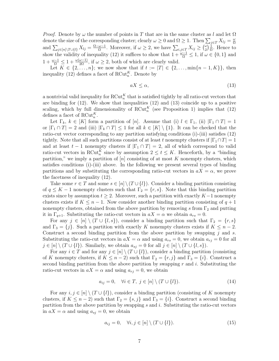*Proof.* Denote by  $\omega$  the number of points in T that are in the same cluster as l and let  $\Omega$ denote the size of the corresponding cluster; clearly  $\omega \geq 0$  and  $\Omega \geq 1$ . Then  $\sum_{j\in T} X_{lj} = \frac{\omega}{\Omega}$ Ω and  $\sum_{j\in[n]\backslash T\cup\{l\}} X_{lj} = \frac{\Omega-\omega-1}{\Omega}$ . Moreover, if  $\omega \geq 2$ , we have  $\sum_{i,j\in T} X_{ij} \geq {\omega \choose 2}$  $\binom{\omega}{2} \frac{1}{\Omega}$  $\frac{1}{\Omega}$ . Hence to show the validity of inequality (12) it suffices to show that  $1 + \frac{\omega - 1}{\Omega} \le 1$ , if  $\omega \in \{0, 1\}$  and  $1 + \frac{\omega - 1}{\Omega} \leq 1 + \frac{\omega(\omega - 1)}{2\Omega}$ , if  $\omega \geq 2$ , both of which are clearly valid.

Let  $K \in \{2, ..., n\}$ ; we now show that if  $t := |T| \in \{2, ..., \min\{n-1, K\}\}$ , then inequality (12) defines a facet of RCut<sup>K</sup>. Denote by

$$
aX \le \alpha,\tag{13}
$$

a nontrivial valid inequality for  $RCut_n^K$  that is satisfied tightly by all ratio-cut vectors that are binding for (12). We show that inequalities (12) and (13) coincide up to a positive scaling, which by full dimensionality of  $RCut_n^K$  (see Proposition 1) implies that (12) defines a facet of  $\mathrm{RCut}_n^K$ .

Let  $\Gamma_k, k \in [K]$  form a partition of  $[n]$ . Assume that (i)  $l \in \Gamma_1$ , (ii)  $|\Gamma_1 \cap T| = 1$ or  $|\Gamma_1 \cap T| = 2$  and (iii)  $|\Gamma_k \cap T| \leq 1$  for all  $k \in [K] \setminus \{1\}$ . It can be checked that the ratio-cut vector corresponding to any partition satisfying conditions (i)-(iii) satisfies (12) tightly. Note that all such partitions consist of at least t nonempty clusters if  $|\Gamma_1 \cap T| = 1$ and at least  $t-1$  nonempty clusters if  $|\Gamma_1 \cap T| = 2$ , all of which correspond to valid ratio-cut vectors in RCut<sup>K</sup> since by assumption  $2 \le t \le K$ . Henceforth, by a "binding" partition," we imply a partition of  $[n]$  consisting of at most  $K$  nonempty clusters, which satisfies conditions (i)-(iii) above. In the following we present several types of binding partitions and by substituting the corresponding ratio-cut vectors in  $aX = \alpha$ , we prove the facetness of inequality (12).

Take some  $r \in T$  and some  $s \in [n] \setminus (T \cup \{l\})$ . Consider a binding partition consisting of  $q \leq K-1$  nonempty clusters such that  $\Gamma_2 = \{r, s\}$ . Note that this binding partition exists since by assumption  $t \geq 2$ . Moreover, such a partition with exactly  $K-1$  nonempty clusters exists if  $K \leq n-1$ . Now consider another binding partition consisting of  $q+1$ nonempty clusters, obtained from the above partition by removing s from  $\Gamma_2$  and putting it in  $\Gamma_{q+1}$ . Substituting the ratio-cut vectors in  $aX = \alpha$  we obtain  $a_{rs} = 0$ .

For any  $j \in [n] \setminus (T \cup \{l, s\})$ , consider a binding partition such that  $\Gamma_2 = \{r, s\}$ and  $\Gamma_3 = \{j\}$ . Such a partition with exactly K nonempty clusters exists if  $K \leq n-2$ . Construct a second binding partition from the above partition by swapping  $j$  and  $s$ . Substituting the ratio-cut vectors in  $aX = \alpha$  and using  $a_{rs} = 0$ , we obtain  $a_{rj} = 0$  for all  $j \in [n] \setminus (T \cup \{l\})$ . Similarly, we obtain  $a_{sj} = 0$  for all  $j \in [n] \setminus (T \cup \{l, s\})$ .

For any  $i \in T$  and for any  $j \in [n] \setminus (T \cup \{l\})$ , consider a binding partition (consisting of K nonempty clusters, if  $K \leq n-2$ ) such that  $\Gamma_2 = \{r, j\}$  and  $\Gamma_3 = \{i\}$ . Construct a second binding partition from the above partition by swapping  $r$  and  $i$ . Substituting the ratio-cut vectors in  $aX = \alpha$  and using  $a_{rj} = 0$ , we obtain

$$
a_{ij} = 0, \quad \forall i \in T, \ j \in [n] \setminus (T \cup \{l\}). \tag{14}
$$

For any  $i, j \in [n] \setminus (T \cup \{l\})$ , consider a binding partition (consisting of K nonempty clusters, if  $K \leq n-2$ ) such that  $\Gamma_2 = \{s, j\}$  and  $\Gamma_3 = \{i\}$ . Construct a second binding partition from the above partition by swapping  $s$  and  $i$ . Substituting the ratio-cut vectors in  $aX = \alpha$  and using  $a_{sj} = 0$ , we obtain

$$
a_{ij} = 0, \quad \forall i, j \in [n] \setminus (T \cup \{l\}). \tag{15}
$$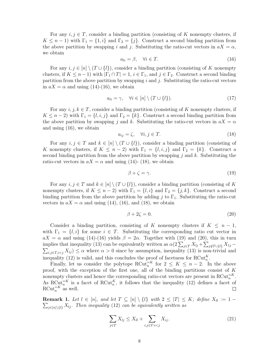For any  $i, j \in T$ , consider a binding partition (consisting of K nonempty clusters, if  $K \leq n-1$ ) with  $\Gamma_1 = \{1, i\}$  and  $\Gamma_2 = \{j\}$ . Construct a second binding partition from the above partition by swapping i and j. Substituting the ratio-cut vectors in  $aX = \alpha$ , we obtain

$$
a_{li} = \beta, \quad \forall i \in T. \tag{16}
$$

For any  $i, j \in [n] \setminus (T \cup \{l\})$ , consider a binding partition (consisting of K nonempty clusters, if  $K \leq n-1$ ) with  $|\Gamma_1 \cap T| = 1$ ,  $i \in \Gamma_1$ , and  $j \in \Gamma_2$ . Construct a second binding partition from the above partition by swapping i and j. Substituting the ratio-cut vectors in  $aX = \alpha$  and using (14)-(16), we obtain

$$
a_{li} = \gamma, \quad \forall i \in [n] \setminus (T \cup \{l\}). \tag{17}
$$

For any  $i, j, k \in T$ , consider a binding partition (consisting of K nonempty clusters, if  $K \leq n-2$ ) with  $\Gamma_1 = \{l, i, j\}$  and  $\Gamma_2 = \{k\}$ . Construct a second binding partition from the above partition by swapping j and k. Substituting the ratio-cut vectors in  $aX = \alpha$ and using (16), we obtain

$$
a_{ij} = \zeta, \quad \forall i, j \in T. \tag{18}
$$

For any  $i, j \in T$  and  $k \in [n] \setminus (T \cup \{l\})$ , consider a binding partition (consisting of K nonempty clusters, if  $K \leq n-2$ ) with  $\Gamma_1 = \{l, i, j\}$  and  $\Gamma_2 = \{k\}$ . Construct a second binding partition from the above partition by swapping  $j$  and  $k$ . Substituting the ratio-cut vectors in  $aX = \alpha$  and using (14)- (18), we obtain

$$
\beta + \zeta = \gamma. \tag{19}
$$

For any  $i, j \in T$  and  $k \in [n] \setminus (T \cup \{l\})$ , consider a binding partition (consisting of K nonempty clusters, if  $K \leq n-2$ ) with  $\Gamma_1 = \{l, i\}$  and  $\Gamma_2 = \{j, k\}$ . Construct a second binding partition from the above partition by adding j to  $\Gamma_1$ . Substituting the ratio-cut vectors in  $aX = \alpha$  and using (14), (16), and (18), we obtain

$$
\beta + 2\zeta = 0.\tag{20}
$$

Consider a binding partition, consisting of K nonempty clusters if  $K \leq n-1$ , with  $\Gamma_1 = \{l, i\}$  for some  $i \in T$ . Substituting the corresponding ratio cut vector in  $aX = \alpha$  and using (14)-(16) yields  $\beta = 2\alpha$ . Together with (19) and (20), this in turn implies that inequality (13) can be equivalently written as  $\alpha(2\sum_{j\in T}X_{lj}+\sum_{j\in T}X_{lj})$ implies that inequality (13) can be equivalently written as  $\alpha(2\sum_{j\in T}X_{lj} + \sum_{j\notin T\cup\{l\}}X_{1j} - \sum_{i,j\in T, i where  $\alpha > 0$  since by assumption, inequality (13) is non-trivial and$ inequality (12) is valid, and this concludes the proof of facetness for  $RCut_n^K$ .

Finally, let us consider the polytope RCut<sup> $=K$ </sup> for  $2 \leq K \leq n-2$ . In the above proof, with the exception of the first one, all of the binding partitions consist of  $K$ nonempty clusters and hence the corresponding ratio-cut vectors are present in RCut<sup> $=$ K</sup>. As RCut<sup> $K$ </sup> is a facet of RCut<sup>K</sup><sub>n</sub>, it follows that the inequality (12) defines a facet of RCut<sup> $=K$ </sup> as well.

**Remark 1.** Let  $l \in [n]$ , and let  $T \subseteq [n] \setminus \{l\}$  with  $2 \leq |T| \leq K$ ; define  $X_{ll} := 1 \sum_{j\in[n]\setminus\{l\}} X_{lj}$ . Then inequality (12) can be equivalently written as

$$
\sum_{j \in T} X_{lj} \le X_{ll} + \sum_{i,j \in T: i < j} X_{ij}.\tag{21}
$$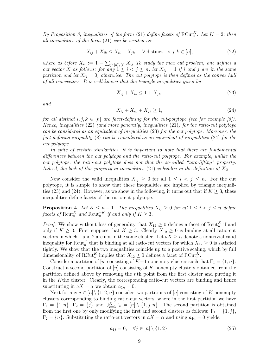By Proposition 3, inequalities of the form (21) define facets of  $RCut_n^K$ . Let  $K = 2$ ; then all inequalities of the form (21) can be written as:

$$
X_{ij} + X_{ik} \le X_{ii} + X_{jk}, \quad \forall \text{ distinct} \quad i, j, k \in [n], \tag{22}
$$

where as before  $X_{ii} := 1 - \sum_{j \in [n] \setminus \{i\}} X_{ij}$  To study the max cut problem, one defines a cut vector X as follows: for any  $1 \leq i < j \leq n$ , let  $X_{ij} = 1$  if i and j are in the same partition and let  $X_{ij} = 0$ , otherwise. The cut polytope is then defined as the convex hull of all cut vectors. It is well-known that the triangle inequalities given by

$$
X_{ij} + X_{ik} \le 1 + X_{jk},\tag{23}
$$

and

$$
X_{ij} + X_{ik} + X_{jk} \ge 1,\tag{24}
$$

for all distinct i, j,  $k \in [n]$  are facet-defining for the cut-polytope (see for example [8]). Hence, inequalities  $(22)$  (and more generally, inequalities  $(21)$ ) for the ratio-cut polytope can be considered as an equivalent of inequalities (23) for the cut polytope. Moreover, the fact-defining inequality (8) can be considered as an equivalent of inequalities (24) for the cut polytope.

In spite of certain similarities, it is important to note that there are fundamental differences between the cut polytope and the ratio-cut polytope. For example, unlike the cut polytope, the ratio-cut polytope does not that the so-called "zero-lifting" property. Indeed, the lack of this property in inequalities (21) is hidden in the definition of  $X_{ii}$ .

Now consider the valid inequalities  $X_{ij} \geq 0$  for all  $1 \leq i \leq j \leq n$ . For the cut polytope, it is simple to show that these inequalities are implied by triangle inequalities (23) and (24). However, as we show in the following, it turns out that if  $K \geq 3$ , these inequalities define facets of the ratio-cut polytope.

**Proposition 4.** Let  $K \leq n-1$ . The inequalities  $X_{ij} \geq 0$  for all  $1 \leq i < j \leq n$  define facets of  $\text{Rcut}_n^K$  and  $\text{Rcut}_n^{=K}$  if and only if  $K \geq 3$ .

*Proof.* We show without loss of generality that  $X_{12} \geq 0$  defines a facet of Rcut<sup>K</sup> if and only if  $K \geq 3$ . First suppose that  $K \geq 3$ . Clearly  $X_{12} \geq 0$  is binding at all ratio-cut vectors in which 1 and 2 are not in the same cluster. Let  $aX \geq \alpha$  denote a nontrivial valid inequality for Rcut<sup>K</sup> that is binding at all ratio-cut vectors for which  $X_{12} \geq 0$  is satisfied tightly. We show that the two inequalities coincide up to a positive scaling, which by full dimensionality of RCut<sup>K</sup> implies that  $X_{12} \geq 0$  defines a facet of RCut<sup>K</sup><sub>n</sub>.

Consider a partition of [n] consisting of K-1 nonempty clusters such that  $\Gamma_1 = \{1, n\}.$ Construct a second partition of  $[n]$  consisting of K nonempty clusters obtained from the partition defined above by removing the nth point from the first cluster and putting it in the Kthe cluster. Clearly, the corresponding ratio-cut vectors are binding and hence substituting in  $aX = \alpha$  we obtain  $a_{1n} = 0$ .

Next for any  $j \in [n] \setminus \{1, 2, n\}$  consider two partitions of  $[n]$  consisting of K nonempty clusters corresponding to binding ratio-cut vectors, where in the first partition we have  $\Gamma_1 = \{1, n\}, \ \Gamma_2 = \{j\}$  and  $\cup_{k=3}^K \Gamma_k = [n] \setminus \{1, j, n\}.$  The second partition is obtained from the first one by only modifying the first and second clusters as follows:  $\Gamma_1 = \{1, j\},\$  $\Gamma_2 = \{n\}$ . Substituting the ratio-cut vectors in  $aX = \alpha$  and using  $a_{1n} = 0$  yields:

$$
a_{1j} = 0, \quad \forall j \in [n] \setminus \{1, 2\}.
$$
\n
$$
(25)
$$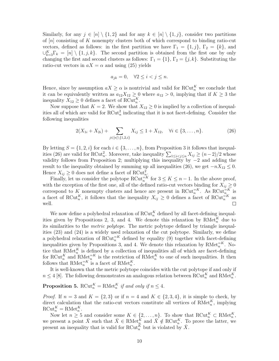Similarly, for any  $j \in [n] \setminus \{1, 2\}$  and for any  $k \in [n] \setminus \{1, j\}$ , consider two partitions of  $[n]$  consisting of K nonempty clusters both of which correspond to binding ratio-cut vectors, defined as follows: in the first partition we have  $\Gamma_1 = \{1, j\}, \Gamma_2 = \{k\},\$ and  $\bigcup_{k=3}^{K} \Gamma_k = [n] \setminus \{1, j, k\}.$  The second partition is obtained from the first one by only changing the first and second clusters as follows:  $\Gamma_1 = \{1\}, \Gamma_2 = \{j, k\}.$  Substituting the ratio-cut vectors in  $aX = \alpha$  and using (25) yields

$$
a_{jk} = 0, \quad \forall 2 \le i < j \le n.
$$

Hence, since by assumption  $aX \geq \alpha$  is nontrivial and valid for RCut<sup>K</sup> we conclude that it can be equivalently written as  $a_{12}X_{12} \geq 0$  where  $a_{12} > 0$ , implying that if  $K \geq 3$  the inequality  $X_{12} \geq 0$  defines a facet of RCut<sup>K</sup><sub>n</sub>.

Now suppose that  $K = 2$ . We show that  $X_{12} \geq 0$  is implied by a collection of inequalities all of which are valid for  $RCut_n^2$  indicating that it is not facet-defining. Consider the following inequalities

$$
2(X_{1i} + X_{2i}) + \sum_{j \in [n] \setminus \{1, 2, i\}} X_{ij} \le 1 + X_{12}, \quad \forall i \in \{3, \dots, n\}.
$$
 (26)

By letting  $S = \{1, 2, i\}$  for each  $i \in \{3, ..., n\}$ , from Proposition 3 it follows that inequalities (26) are valid for RCut<sup>2</sup>, Moreover, take inequality  $\sum_{1 \leq i < j \leq n} X_{ij} \geq (n-2)/2$  whose validity follows from Proposition 2; multiplying this inequality by  $-2$  and adding the result to the inequality obtained by summing up all inequalities (26), we get  $-nX_{12} \leq 0$ . Hence  $X_{ij} \geq 0$  does not define a facet of  $\mathrm{RCut}_{n_k}^2$ .

Finally, let us consider the polytope RCut<sup> $=k \atop n$ </sup> for  $3 \leq K \leq n-1$ . In the above proof, with the exception of the first one, all of the defined ratio-cut vectors binding for  $X_{ij} \geq 0$ correspond to K nonempty clusters and hence are present in RCut $_{n}^{-K}$ . As RCut $_{n}^{-K}$  is a facet of RCut<sup>K</sup><sub>n</sub>, it follows that the inequality  $X_{ij} \geq 0$  defines a facet of RCut<sup>E</sup><sub>n</sub><sup>K</sup> as well.  $\Box$ 

We now define a polyhedral relaxation of  $RCut_n^K$  defined by all facet-defining inequalities given by Propositions 2, 3, and 4. We denote this relaxation by  $\text{RMet}_{n}^{K}$  due to its similarities to the metric polytope. The metric polytope defined by triangle inequalities (23) and (24) is a widely used relaxation of the cut polytope. Similarly, we define a polyhedral relaxation of  $RCut_n^{K}$  defined by equality (9) together with facet-defining inequalities given by Propositions 3, and 4. We denote this relaxation by  $RMet_n^{=K}$ . Notice that  $\text{RMet}_{n}^{K}$  is defined by a collection of inequalities all of which are facet-defining for RCut<sup>K</sup> and RMet<sup> $=$ K</sup> is the restriction of RMet<sup>K</sup> to one of such inequalities. It then follows that  $\text{RMet}_{n}^{\equiv K}$  is a facet of  $\text{RMet}_{n}^{K}$ .

It is well-known that the metric polytope coincides with the cut polytope if and only if  $n \leq 4$  [8]. The following demonstrates an analogous relation between RCut<sup>K</sup><sub>n</sub> and RMet<sup>K</sup><sub>n</sub>.

## **Proposition 5.** RCut<sup>K</sup><sub>n</sub> = RMet<sup>K</sup><sub>n</sub> if and only if  $n \leq 4$ .

*Proof.* If  $n = 3$  and  $K = \{2, 3\}$  or if  $n = 4$  and  $K \in \{2, 3, 4\}$ , it is simple to check, by direct calculation that the ratio-cut vectors constitute all vertices of RMet<sub>n</sub><sup>K</sup>, implying  $\mathrm{RCut}_n^K = \mathrm{RMet}_n^K$ .

Now let  $n \geq 5$  and consider some  $K \in \{2, \ldots, n\}$ . To show that  $\mathrm{RCut}_n^K \subset \mathrm{RMet}_n^K$ , we present a point  $\bar{X}$  such that  $\bar{X} \in \text{RMet}_{n}^{\tilde{K}}$  and  $\bar{X} \notin \text{RCut}_{n}^{K}$ . To prove the latter, we present an inequality that is valid for RCut<sup>K</sup> but is violated by  $\bar{X}$ .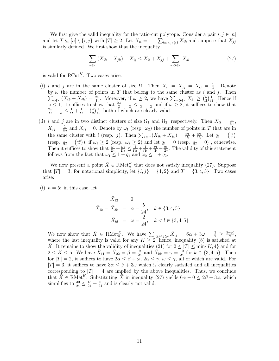We first give the valid inequality for the ratio-cut polytope. Consider a pair  $i, j \in [n]$ and let  $T \subseteq [n] \setminus \{i, j\}$  with  $|T| \geq 2$ . Let  $X_{ii} = 1 - \sum_{k \in [n] \setminus \{i\}} X_{ik}$  and suppose that  $X_{jj}$ is similarly defined. We first show that the inequality

$$
\sum_{k \in T} (X_{ik} + X_{jk}) - X_{ij} \le X_{ii} + X_{jj} + \sum_{k < l \in T} X_{kl} \tag{27}
$$

is valid for  $\text{RCut}_n^K$ . Two cases arise:

- (i) i and j are in the same cluster of size  $\Omega$ . Then  $X_{ii} = X_{jj} = X_{ij} = \frac{1}{\Omega}$  $\frac{1}{\Omega}$ . Denote by  $\omega$  the number of points in T that belong to the same cluster as i and j. Then  $\sum_{k\in\mathcal{I}}(X_{ik}+X_{jk})=\frac{2\omega}{\Omega}$ . Moreover, if  $\omega\geq 2$ , we have  $\sum_{k\leq l\in\mathcal{I}}X_{kl}\geq \binom{\omega}{2}$  $\binom{\omega}{2} \frac{1}{\Omega}$  $\frac{1}{\Omega}$ . Hence if  $\omega \leq 1$ , it suffices to show that  $\frac{2\omega}{\Omega} - \frac{1}{\Omega} \leq \frac{1}{\Omega} + \frac{1}{\Omega}$  $\omega \leq 1$ , it suffices to show that  $\frac{2\omega}{\Omega} - \frac{1}{\Omega} \leq \frac{1}{\Omega} + \frac{1}{\Omega}$  and if  $\omega \geq 2$ , it suffices to show that  $\frac{2\omega}{\Omega} - \frac{1}{\Omega} \leq \frac{1}{\Omega} + \frac{1}{\Omega} + \left(\frac{\omega}{2}\right) \frac{1}{\Omega}$ , both of which are clearly valid.  $\binom{\omega}{2} \frac{1}{\Omega}$  $\frac{1}{\Omega}$ , both of which are clearly valid.
- (ii) i and j are in two distinct clusters of size  $\Omega_1$  and  $\Omega_2$ , respectively. Then  $X_{ii} = \frac{1}{\Omega_1}$ ,  $\Omega_1$  $X_{jj} = \frac{1}{\Omega}$  $\frac{1}{\Omega_2}$  and  $X_{ij} = 0$ . Denote by  $\omega_1$  (resp.  $\omega_2$ ) the number of points in T that are in the same cluster with i (resp. j). Then  $\sum_{k \in T} (X_{ik} + X_{jk}) = \frac{\omega_1}{\Omega_1} + \frac{\omega_2}{\Omega_2}$  $\frac{\omega_2}{\Omega_2}$ . Let  $q_1 = \begin{pmatrix} \omega_1 \\ 2 \end{pmatrix}$  $\binom{1}{2}$ (resp.  $q_2 = \begin{pmatrix} \omega_2 \\ 2 \end{pmatrix}$  $\omega_2^{(2)}$ ), if  $\omega_1 \geq 2$  (resp.  $\omega_2 \geq 2$ ) and let  $q_1 = 0$  (resp.  $q_2 = 0$ ), otherwise. Then it suffices to show that  $\frac{\omega_1}{\Omega_1} + \frac{\omega_2}{\Omega_2}$  $\frac{\omega_2}{\Omega_2}\leq\frac{1}{\Omega_1}$  $\frac{1}{\Omega_1} + \frac{1}{\Omega_2}$  $\frac{1}{\Omega_2} + \frac{q_1}{\Omega_1}$  $\frac{q_1}{\Omega_1} + \frac{q_2}{\Omega_2}$  $\frac{q_2}{\Omega_2}$ . The validity of this statement follows from the fact that  $\omega_1 \leq 1 + q_1$  and  $\omega_2 \leq 1 + q_2$ .

We now present a point  $\bar{X} \in \text{RMet}_{n}^{K}$  that does not satisfy inequality (27). Suppose that  $|T| = 3$ ; for notational simplicity, let  $\{i, j\} = \{1, 2\}$  and  $T = \{3, 4, 5\}$ . Two cases arise:

(i)  $n = 5$ : in this case, let

$$
\bar{X}_{12} = 0
$$
  

$$
\bar{X}_{1k} = \bar{X}_{2k} = \alpha = \frac{5}{24}, \quad k \in \{3, 4, 5\}
$$
  

$$
\bar{X}_{kl} = \omega = \frac{2}{24}, \quad k < l \in \{3, 4, 5\}
$$

We now show that  $\bar{X} \in \text{RMet}_{5}^K$ . We have  $\sum_{1 \leq i < j \leq 5} \bar{X}_{ij} = 6\alpha + 3\omega = \frac{3}{2} \geq \frac{5-K}{2}$ , where the last inequality is valid for any  $K \geq 2$ ; hence, inequality (8) is satisfied at X. It remains to show the validity of inequalities (21) for  $2 \leq |T| \leq \min\{K, 4\}$  and for  $2 \leq K \leq 5$ . We have  $\bar{X}_{11} = \bar{X}_{22} = \beta = \frac{9}{24}$  and  $\bar{X}_{kk} = \gamma = \frac{10}{24}$  for  $k \in \{3, 4, 5\}$ . Then for  $|T| = 2$ , it suffices to have  $2\alpha \leq \beta + \omega$ ,  $2\alpha \leq \gamma$ ,  $\omega \leq \gamma$ , all of which are valid. For  $|T| = 3$ , it suffices to have  $3\alpha \leq \beta + 3\omega$  which is clearly satisfied and all inequalities corresponding to  $|T| = 4$  are implied by the above inequalities. Thus, we conclude that  $\bar{X} \in \text{RMet}_{5}^{K}$ . Substituting  $\bar{X}$  in inequality (27) yields  $6\alpha - 0 \leq 2\beta + 3\omega$ , which simplifies to  $\frac{30}{24} \leq \frac{18}{24} + \frac{6}{24}$  and is clearly not valid.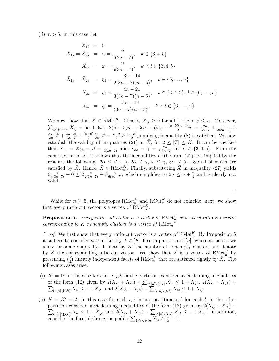(ii)  $n > 5$ : in this case, let

$$
\bar{X}_{1k} = \bar{X}_{2k} = 0
$$
\n
$$
\bar{X}_{1k} = \bar{X}_{2k} = \alpha = \frac{n}{3(3n-7)}, \quad k \in \{3, 4, 5\}
$$
\n
$$
\bar{X}_{kl} = \omega = \frac{n}{6(3n-7)}, \quad k < l \in \{3, 4, 5\}
$$
\n
$$
\bar{X}_{1k} = \bar{X}_{2k} = \eta_1 = \frac{3n-14}{2(3n-7)(n-5)}, \quad k \in \{6, \dots, n\}
$$
\n
$$
\bar{X}_{kl} = \eta_2 = \frac{4n-21}{3(3n-7)(n-5)}, \quad k \in \{3, 4, 5\}, \quad l \in \{6, \dots, n\}
$$
\n
$$
\bar{X}_{kl} = \eta_3 = \frac{3n-14}{(3n-7)(n-5)}, \quad k < l \in \{6, \dots, n\}.
$$

We now show that  $\bar{X} \in \text{RMet}_{n}^{K}$ . Clearly,  $\bar{X}_{ij} \geq 0$  for all  $1 \leq i \leq j \leq n$ . Moreover,  $\sum_{1 \leq i < j \leq n} \bar{X}_{ij} = 6\alpha + 3\omega + 2(n-5)\eta_1 + 3(n-5)\eta_2 + \frac{(n-5)(n-6)}{2}\eta_3 = \frac{2n}{3n-7} + \frac{n}{2(3n-7)} +$  $\frac{3n-14}{3n-7} + \frac{4n-21}{3n-7} + \frac{(n-6)}{2} \frac{3n-14}{3n-7} = \frac{n-2}{2} \ge \frac{n-K}{2}$ , implying inequality (8) is satisfied. We now establish the validity of inequalities (21) at  $\bar{X}$ , for  $2 \leq |T| \leq K$ . It can be checked that  $\bar{X}_{11} = \bar{X}_{22} = \beta = \frac{n}{2(3n-7)}$  and  $\bar{X}_{kk} = \gamma = \frac{2n}{3(3n-7)}$  for  $k \in \{3, 4, 5\}$ . From the construction of  $\overline{X}$ , it follows that the inequalities of the form (21) not implied by the rest are the following:  $2\alpha \leq \beta + \omega$ ,  $2\alpha \leq \gamma$ ,  $\omega \leq \gamma$ ,  $3\alpha \leq \beta + 3\omega$  all of which are satisfied by  $\bar{X}$ . Hence,  $\bar{X} \in \text{RMet}_{n}^{K}$ . Finally, substituting  $\bar{X}$  in inequality (27) yields  $6\frac{n}{3(3n-7)}-0\leq 2\frac{n}{2(3n-7)}+3\frac{n}{6(3n-7)}$ , which simplifies to  $2n\leq n+\frac{n}{2}$  $\frac{n}{2}$  and is clearly not valid.

While for  $n \geq 5$ , the polytopes RMet<sup>K</sup> and RCut<sup>K</sup> do not coincide, next, we show that every ratio-cut vector is a vertex of  $\text{RMet}_{n}^{K}$ .

**Proposition 6.** Every ratio-cut vector is a vertex of  $\text{RMet}_{n}^K$  and every ratio-cut vector corresponding to K nonempty clusters is a vertex of  $\text{RMet}_{n}^{\equiv K}$ .

*Proof.* We first show that every ratio-cut vector is a vertex of RMet<sub>n</sub><sup>K</sup>. By Proposition 5 it suffices to consider  $n \geq 5$ . Let  $\Gamma_k, k \in [K]$  form a partition of  $[n]$ , where as before we allow for some empty  $\Gamma_k$ . Denote by K' the number of nonempty clusters and denote by  $\hat{X}$  the corresponding ratio-cut vector. We show that  $\hat{X}$  is a vertex of RMet<sub>h</sub><sup>K</sup> by presenting  $\binom{n}{2}$  $\binom{n}{2}$  linearly independent facets of RMet<sup>K</sup> that are satisfied tightly by  $\hat{X}$ . The following cases arise:

- (i)  $K' = 1$ : in this case for each i, j, k in the partition, consider facet-defining inequalities of the form (12) given by  $2(X_{ij} + X_{ik}) + \sum_{l \in [n] \setminus \{j,k\}} X_{il} \le 1 + X_{jk}, 2(X_{ij} + X_{jk}) + \sum_{l \in [n] \setminus \{i,j\}} X_{jl} \le 1 + X_{ik},$  and  $2(X_{ik} + X_{jk}) + \sum_{l \in [n] \setminus \{i,j\}} X_{kl} \le 1 + X_{ij}.$
- (ii)  $K = K' = 2$ : in this case for each i, j in one partition and for each k in the other partition consider facet-defining inequalities of the form (12) given by  $2(X_{ij} + X_{ik}) +$  $\sum_{l \in [n] \setminus \{j,k\}} X_{il} \leq 1 + X_{jk}$  and  $2(X_{ij} + X_{jk}) + \sum_{l \in [n] \setminus \{i,k\}} X_{jl} \leq 1 + X_{ik}$ . In addition, consider the facet defining inequality  $\sum_{1 \leq i < j \leq n} X_{ij} \geq \frac{n}{2} - 1$ .

 $\Box$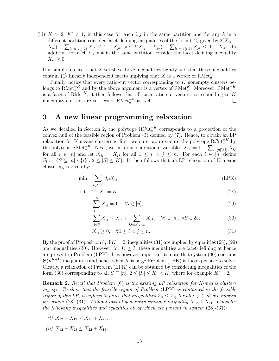(iii)  $K > 2$ ,  $K' \neq 1$ , in this case for each i, j in the same partition and for any k in a different partition consider facet-defining inequalities of the form (12) given by  $2(X_{ij} +$  $X_{ik}$ ) +  $\sum_{l \in [n] \setminus \{j,k\}} X_{il} \leq 1 + X_{jk}$  and  $2(X_{ij} + X_{jk}) + \sum_{l \in [n] \setminus \{i,k\}} X_{jl} \leq 1 + X_{ik}$ . In addition, for each  $i, j$  not in the same partition consider the facet defining inequality  $X_{ij} \geq 0$ .

It is simple to check that  $\hat{X}$  satisfies above inequalities tightly and that these inequalities contain  $\left(\begin{smallmatrix}n\0\end{smallmatrix}\right)$ <sup>n</sup>) linearly independent facets implying that  $\hat{X}$  is a vertex of RMet<sub>n</sub><sup>K</sup>.

Finally, notice that every ratio-cut vector corresponding to  $K$  nonempty clusters belongs to  $\text{RMet}_{n}^{\equiv K}$  and by the above argument is a vertex of  $\text{RMet}_{n}^{K}$ . Moreover,  $\text{RMet}_{n}^{\equiv K}$ is a facet of RMet<sup>K</sup><sub>n</sub>; it then follows that all such ratio-cut vectors corresponding to K nonempty clusters are vertices of  $RMet_n^{-K}$  as well.

## 3 A new linear programming relaxation

As we detailed in Section 2, the polytope  $RCut_n^{K}$  corresponds to a projection of the convex hull of the feasible region of Problem (3) defined by (7). Hence, to obtain an LP relaxation for K-means clustering, first, we outer-approximate the polytope  $RCut_n^{=K}$  by the polytope RMet<sup> $=K$ </sup>. Next, we introduce additional variables  $X_{ii} := 1 - \sum_{j \in [n] \setminus \{i\}} X_{ij}$ for all  $i \in [n]$  and let  $X_{ji} = X_{ij}$  for all  $1 \leq i \leq j \leq n$ . For each  $i \in [n]$  define  $\mathcal{S}_i := \{ S \subseteq [n] \setminus \{i\} : 2 \leq |S| \leq K \}.$  It then follows that an LP relaxation of K-means clustering is given by:

$$
\min \sum_{i,j \in [n]} d_{ij} X_{ij} \tag{LPK}
$$

$$
ext{sf.} \quad \text{Tr}(X) = K,\tag{28}
$$

$$
\sum_{j=1}^{n} X_{ij} = 1, \quad \forall i \in [n], \tag{29}
$$

$$
\sum_{j \in S} X_{ij} \le X_{ii} + \sum_{j,k \in S: j < k} X_{jk}, \quad \forall i \in [n], \ \forall S \in \mathcal{S}_i,\tag{30}
$$

$$
X_{ij} \ge 0, \quad \forall 1 \le i < j \le n. \tag{31}
$$

By the proof of Proposition 8, if  $K = 2$ , inequalities (31) are implied by equalities (28), (29) and inequalities (30). However, for  $K \geq 3$ , these inequalities are facet-defining at hence are present in Problem (LPK). It is however important to note that system (30) contains  $\Theta(n^{K+1})$  inequalities and hence when K is large Problem (LPK) is too expensive to solve. Clearly, a relaxation of Problem (LPK) can be obtained by considering inequalities of the form (30) corresponding to all  $S \subseteq [n], 2 \leq |S| \leq K' < K$ , where for example  $K' = 2$ .

Remark 2. Recall that Problem (6) is the existing LP relaxation for K-means clustering  $\mathcal{A}$ . To show that the feasible region of Problem (LPK) is contained in the feasible region of this LP, it suffices to prove that inequalities  $Z_{ii} \leq Z_{ij}$  for all  $i, j \in [n]$  are implied by system (28)-(31). Without loss of generality consider inequality  $X_{12} \leq X_{11}$ . Consider the following inequalities and equalities all of which are present in system  $(28)$ - $(31)$ :

- (i)  $X_{12} + X_{13} \leq X_{11} + X_{23}$
- (ii)  $X_{12} + X_{23} \leq X_{22} + X_{13}$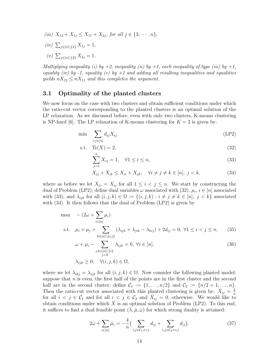- (iii)  $X_{12} + X_{1j} \leq X_{11} + X_{2j}$ , for all  $j \in \{3, \dots, n\}$ ,
- $(iv) \sum_{j \in [n] \setminus \{1\}} X_{1j} = 1,$
- (v)  $\sum_{j \in [n] \setminus \{2\}} X_{2j} = 1.$

Multiplying inequality (i) by  $+2$ , inequality (ii) by  $+1$ , each inequality of type (iii) by  $+1$ , equality (iv) by -1, equality (v) by +1 and adding all resulting inequalities and equalities yields  $nX_{12} \leq nX_{11}$  and this completes the argument.

#### 3.1 Optimality of the planted clusters

We now focus on the case with two clusters and obtain sufficient conditions under which the ratio-cut vector corresponding to the planted clusters is an optimal solution of the LP relaxation. As we discussed before, even with only two clusters, K-means clustering is NP-hard [6]. The LP relaxation of K-means clustering for  $K = 2$  is given by:

$$
\min \sum_{i,j \in [n]} d_{ij} X_{ij} \tag{LP2}
$$

$$
ext{sf.} \quad \text{Tr}(X) = 2,\tag{32}
$$

$$
\sum_{j=1}^{n} X_{ij} = 1, \quad \forall 1 \le i \le n,
$$
\n
$$
(33)
$$

$$
X_{ij} + X_{ik} \le X_{ii} + X_{jk}, \quad \forall i \ne j \ne k \in [n], j < k,\tag{34}
$$

where as before we let  $X_{ji} = X_{ij}$  for all  $1 \leq i \leq j \leq n$ . We start by constructing the dual of Problem (LP2); define dual variables  $\omega$  associated with (32),  $\mu_i$ ,  $i \in [n]$  associated with (33), and  $\lambda_{ijk}$  for all  $(i, j, k) \in \Omega := \{(i, j, k) : i \neq j \neq k \in [n], j < k\}$  associated with  $(34)$ . It then follows that the dual of Problem  $(LP2)$  is given by

$$
\max - (2\omega + \sum_{i \in [n]} \mu_i)
$$
  
s.t.  $\mu_i + \mu_j + \sum_{k \in [n] \setminus \{i,j\}} (\lambda_{ijk} + \lambda_{jik} - \lambda_{kij}) + 2d_{ij} = 0, \forall 1 \le i < j \le n,$  (35)

$$
\omega + \mu_i - \sum_{\substack{j,k \in [n] \setminus \{i\}: \\ j < k}} \lambda_{ijk} = 0, \ \forall i \in [n],
$$
\n
$$
\lambda_{ijk} \ge 0, \quad \forall (i, j, k) \in \Omega,
$$
\n
$$
(36)
$$

where we let  $\lambda_{ikj} = \lambda_{ijk}$  for all  $(i, j, k) \in \Omega$ . Now consider the following planted model: suppose that  $n$  is even, the first half of the points are in the first cluster and the second half are in the second cluster; define  $C_1 := \{1, \ldots, n/2\}$  and  $C_2 := \{n/2 + 1, \ldots, n\}.$ Then the ratio-cut vector associated with this planted clustering is given by:  $\bar{X}_{ij} = \frac{2}{n}$ n for all  $i < j \in C_1$  and for all  $i < j \in C_2$  and  $\bar{X}_{ij} = 0$ , otherwise. We would like to obtain conditions under which  $\bar{X}$  is an optimal solution of Problem (LP2). To this end, it suffices to find a dual feasible point  $(\overline{\lambda}, \overline{\mu}, \overline{\omega})$  for which strong duality is attained:

$$
2\bar{\omega} + \sum_{i \in [n]} \bar{\mu}_i = -\frac{4}{n} \Big( \sum_{i,j \in \mathcal{C}_1 : i < j} d_{ij} + \sum_{i,j \in \mathcal{C}_2 : i < j} d_{ij} \Big). \tag{37}
$$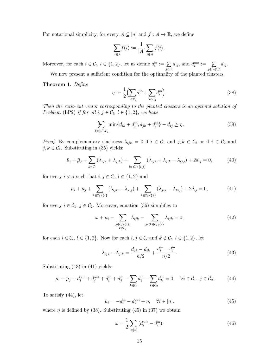For notational simplicity, for every  $A \subseteq [n]$  and  $f : A \to \mathbb{R}$ , we define

$$
\sum_{i \in A} f(i) := \frac{1}{|A|} \sum_{i \in A} f(i).
$$

Moreover, for each  $i \in \mathcal{C}_l, l \in \{1,2\}$ , let us define  $d_i^{\text{in}} := \sum_{i=2}^{\infty}$  $j \in \mathcal{C}_l$  $d_{ij}$ , and  $d_i^{\text{out}} := \sum$  $j\in[n]\backslash\mathcal{C}_l$  $d_{ij}$ .

We now present a sufficient condition for the optimality of the planted clusters.

Theorem 1. Define

$$
\eta := \frac{1}{2} \Big( \sum_{i \in C_1} d_i^{in} + \sum_{i \in C_2} d_i^{in} \Big). \tag{38}
$$

Then the ratio-cut vector corresponding to the planted clusters is an optimal solution of Problem (LP2) if for all  $i, j \in C_l, l \in \{1, 2\}$ , we have

$$
\sum_{k \in [n] \setminus C_l} \min\{d_{ik} + d_j^{in}, d_{jk} + d_i^{in}\} - d_{ij} \ge \eta.
$$
 (39)

*Proof.* By complementary slackness  $\bar{\lambda}_{ijk} = 0$  if  $i \in C_1$  and  $j, k \in C_2$  or if  $i \in C_2$  and  $j,k\in\mathcal{C}_{1}.$  Substituting in (35) yields:

$$
\bar{\mu}_i + \bar{\mu}_j + \sum_{k \notin C_l} (\bar{\lambda}_{ijk} + \bar{\lambda}_{jik}) + \sum_{k \in C_l \setminus \{i,j\}} (\bar{\lambda}_{ijk} + \bar{\lambda}_{jik} - \bar{\lambda}_{kij}) + 2d_{ij} = 0, \tag{40}
$$

for every  $i < j$  such that  $i, j \in \mathcal{C}_l, l \in \{1, 2\}$  and

$$
\bar{\mu}_i + \bar{\mu}_j + \sum_{k \in \mathcal{C}_1 \setminus \{i\}} (\bar{\lambda}_{ijk} - \bar{\lambda}_{kij}) + \sum_{k \in \mathcal{C}_2 \setminus \{j\}} (\bar{\lambda}_{jik} - \bar{\lambda}_{kij}) + 2d_{ij} = 0, \tag{41}
$$

for every  $i \in C_1$ ,  $j \in C_2$ . Moreover, equation (36) simplifies to

$$
\bar{\omega} + \bar{\mu}_i - \sum_{\substack{j \in C_l \setminus \{i\}, \\ k \notin C_l}} \bar{\lambda}_{ijk} - \sum_{\substack{j < k \in C_l \setminus \{i\}}} \bar{\lambda}_{ijk} = 0,\tag{42}
$$

for each  $i \in \mathcal{C}_l, l \in \{1, 2\}$ . Now for each  $i, j \in \mathcal{C}_l$  and  $k \notin \mathcal{C}_l, l \in \{1, 2\}$ , let

$$
\bar{\lambda}_{ijk} - \bar{\lambda}_{jik} = \frac{d_{jk} - d_{ik}}{n/2} + \frac{d_i^{\text{in}} - d_j^{\text{in}}}{n/2}.
$$
\n(43)

Substituting (43) in (41) yields:

$$
\bar{\mu}_i + \bar{\mu}_j + d_i^{\text{out}} + d_j^{\text{out}} + d_i^{\text{in}} + d_j^{\text{in}} - \sum_{k \in C_1} d_k^{\text{in}} - \sum_{k \in C_2} d_k^{\text{in}} = 0, \quad \forall i \in C_1, j \in C_2.
$$
 (44)

To satisfy (44), let

$$
\bar{\mu}_i = -d_i^{\text{in}} - d_i^{\text{out}} + \eta, \quad \forall i \in [n]. \tag{45}
$$

where  $\eta$  is defined by (38). Substituting (45) in (37) we obtain

$$
\bar{\omega} = \frac{1}{2} \sum_{i \in [n]} (d_i^{\text{out}} - d_i^{\text{in}}). \tag{46}
$$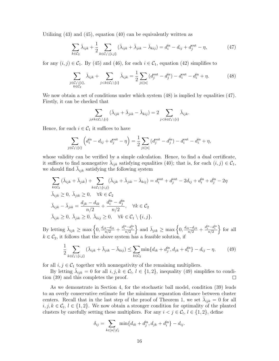Utilizing (43) and (45), equation (40) can be equivalently written as

$$
\sum_{k \in \mathcal{C}_2} \bar{\lambda}_{ijk} + \frac{1}{2} \sum_{k \in \mathcal{C}_1 \setminus \{i,j\}} (\bar{\lambda}_{ijk} + \bar{\lambda}_{jik} - \bar{\lambda}_{kij}) = d_i^{\text{in}} - d_{ij} + d_j^{\text{out}} - \eta,
$$
\n(47)

for any  $(i, j) \in C_1$ . By (45) and (46), for each  $i \in C_1$ , equation (42) simplifies to

$$
\sum_{\substack{j \in \mathcal{C}_1 \setminus \{i\}, \\ k \in \mathcal{C}_2}} \bar{\lambda}_{ijk} + \sum_{j < k \in \mathcal{C}_1 \setminus \{i\}} \bar{\lambda}_{ijk} = \frac{1}{2} \sum_{j \in [n]} \left( d_j^{\text{out}} - d_j^{\text{in}} \right) - d_i^{\text{out}} - d_i^{\text{in}} + \eta. \tag{48}
$$

We now obtain a set of conditions under which system  $(48)$  is implied by equalities  $(47)$ . Firstly, it can be checked that

$$
\sum_{j \neq k \in C_1 \setminus \{i\}} (\bar{\lambda}_{ijk} + \bar{\lambda}_{jik} - \bar{\lambda}_{kij}) = 2 \sum_{j < k \in C_1 \setminus \{i\}} \bar{\lambda}_{ijk}.
$$

Hence, for each  $i \in C_1$  it suffices to have

$$
\sum_{j \in C_1 \setminus \{i\}} \left( d_i^{\text{in}} - d_{ij} + d_j^{\text{out}} - \eta \right) = \frac{1}{2} \sum_{j \in [n]} \left( d_j^{\text{out}} - d_j^{\text{in}} \right) - d_i^{\text{out}} - d_i^{\text{in}} + \eta,
$$

whose validity can be verified by a simple calculation. Hence, to find a dual certificate, it suffices to find nonnegative  $\bar{\lambda}_{ijk}$  satisfying equalities (40); that is, for each  $(i, j) \in C_1$ , we should find  $\bar{\lambda}_{ijk}$  satisfying the following system

$$
\sum_{k \in C_2} (\bar{\lambda}_{ijk} + \bar{\lambda}_{jik}) + \sum_{k \in C_1 \setminus \{i,j\}} (\bar{\lambda}_{ijk} + \bar{\lambda}_{jik} - \bar{\lambda}_{kij}) = d_i^{\text{out}} + d_j^{\text{out}} - 2d_{ij} + d_i^{\text{in}} + d_j^{\text{in}} - 2\eta
$$
  

$$
\bar{\lambda}_{ijk} \ge 0, \ \bar{\lambda}_{jik} \ge 0, \quad \forall k \in C_2
$$
  

$$
\bar{\lambda}_{ijk} - \bar{\lambda}_{jik} = \frac{d_{jk} - d_{ik}}{n/2} + \frac{d_i^{\text{in}} - d_j^{\text{in}}}{n/2}, \quad \forall k \in C_2
$$
  

$$
\bar{\lambda}_{ijk} \ge 0, \ \bar{\lambda}_{jik} \ge 0, \ \bar{\lambda}_{kij} \ge 0, \quad \forall k \in C_1 \setminus \{i, j\}.
$$

By letting  $\bar{\lambda}_{ijk} \ge \max\left\{0, \frac{d_{jk}-d_{ik}}{n/2} + \frac{d_i^{\text{in}}-d_j^{\text{in}}}{n/2}\right\}$ } and  $\bar{\lambda}_{jik} \geq \max\left\{0, \frac{d_{ik}-d_{jk}}{n/2} + \frac{d_j^{\text{in}}-d_i^{\text{in}}}{n/2}\right\}$ o for all  $k \in C_2$ , it follows that the above system has a feasible solution, if

$$
\frac{1}{2} \sum_{k \in C_1 \setminus \{i,j\}} (\bar{\lambda}_{ijk} + \bar{\lambda}_{jik} - \bar{\lambda}_{kij}) \le \sum_{k \in C_2} \min \{d_{ik} + d_j^{\text{in}}, d_{jk} + d_i^{\text{in}}\} - d_{ij} - \eta, \tag{49}
$$

for all  $i, j \in C_1$  together with nonnegativity of the remaining multipliers.

By letting  $\bar{\lambda}_{ijk} = 0$  for all  $i, j, k \in C_l$ ,  $l \in \{1, 2\}$ , inequality (49) simplifies to condition (39) and this completes the proof.

As we demonstrate in Section 4, for the stochastic ball model, condition (39) leads to an overly conservative estimate for the minimum separation distance between cluster centers. Recall that in the last step of the proof of Theorem 1, we set  $\bar{\lambda}_{ijk} = 0$  for all  $i, j, k \in \mathcal{C}_l, l \in \{1, 2\}$ . We now obtain a stronger condition for optimality of the planted clusters by carefully setting these multipliers. For any  $i < j \in C_l$ ,  $l \in \{1, 2\}$ , define

$$
\delta_{ij} = \sum_{k \in [n] \setminus C_l} \min \{ d_{ik} + d_j^{\text{in}}, d_{jk} + d_i^{\text{in}} \} - d_{ij}.
$$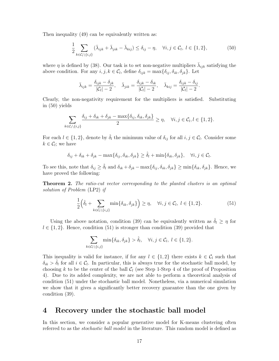Then inequality (49) can be equivalently written as:

$$
\frac{1}{2} \sum_{k \in \mathcal{C}_l \setminus \{i,j\}} (\bar{\lambda}_{ijk} + \bar{\lambda}_{jik} - \bar{\lambda}_{kij}) \le \delta_{ij} - \eta, \quad \forall i, j \in \mathcal{C}_l, l \in \{1, 2\},
$$
\n
$$
(50)
$$

where  $\eta$  is defined by (38). Our task is to set non-negative multipliers  $\bar{\lambda}_{ijk}$  satisfying the above condition. For any  $i, j, k \in \mathcal{C}_l$ , define  $\delta_{ijk} = \max{\{\delta_{ij}, \delta_{ik}, \delta_{jk}\}}$ . Let

$$
\bar{\lambda}_{ijk} = \frac{\delta_{ijk} - \delta_{jk}}{|\mathcal{C}_l| - 2}, \quad \bar{\lambda}_{jik} = \frac{\delta_{ijk} - \delta_{ik}}{|\mathcal{C}_l| - 2}, \quad \bar{\lambda}_{kij} = \frac{\delta_{ijk} - \delta_{ij}}{|\mathcal{C}_l| - 2}.
$$

Clearly, the non-negativity requirement for the multipliers is satisfied. Substituting in (50) yields

$$
\sum_{k \in \mathcal{C}_l \setminus \{i,j\}} \frac{\delta_{ij} + \delta_{ik} + \delta_{jk} - \max\{\delta_{ij}, \delta_{ik}, \delta_{jk}\}}{2} \ge \eta, \quad \forall i, j \in \mathcal{C}_l, l \in \{1, 2\}.
$$

For each  $l \in \{1, 2\}$ , denote by  $\hat{\delta}_l$  the minimum value of  $\delta_{ij}$  for all  $i, j \in \mathcal{C}_l$ . Consider some  $k \in \mathcal{C}_l$ ; we have

$$
\delta_{ij} + \delta_{ik} + \delta_{jk} - \max\{\delta_{ij}, \delta_{ik}, \delta_{jk}\} \ge \hat{\delta}_l + \min\{\delta_{ik}, \delta_{jk}\}, \quad \forall i, j \in \mathcal{C}_l.
$$

To see this, note that  $\delta_{ij} \geq \hat{\delta}_l$  and  $\delta_{ik} + \delta_{jk} - \max{\delta_{ij}, \delta_{ik}, \delta_{jk}} \geq \min{\delta_{ik}, \delta_{jk}}$ . Hence, we have proved the following:

Theorem 2. The ratio-cut vector corresponding to the planted clusters is an optimal solution of Problem (LP2) if

$$
\frac{1}{2} \left( \hat{\delta}_l + \sum_{k \in \mathcal{C}_l \setminus \{i,j\}} \min \{ \delta_{ik}, \delta_{jk} \} \right) \ge \eta, \quad \forall i, j \in \mathcal{C}_l, l \in \{1, 2\}. \tag{51}
$$

Using the above notation, condition (39) can be equivalently written as  $\delta_l \geq \eta$  for  $l \in \{1, 2\}$ . Hence, condition (51) is stronger than condition (39) provided that

$$
\sum_{k \in \mathcal{C}_l \setminus \{i,j\}} \min\{\delta_{ik}, \delta_{jk}\} > \hat{\delta}_l, \quad \forall i, j \in \mathcal{C}_l, l \in \{1, 2\}.
$$

This inequality is valid for instance, if for any  $l \in \{1,2\}$  there exists  $k \in C_l$  such that  $\delta_{ik} > \hat{\delta}_l$  for all  $i \in \mathcal{C}_l$ . In particular, this is always true for the stochastic ball model, by choosing k to be the center of the ball  $C_l$  (see Step 1-Step 4 of the proof of Proposition 4). Due to its added complexity, we are not able to perform a theoretical analysis of condition (51) under the stochastic ball model. Nonetheless, via a numerical simulation we show that it gives a significantly better recovery guarantee than the one given by condition (39).

### 4 Recovery under the stochastic ball model

In this section, we consider a popular generative model for K-means clustering often referred to as the stochastic ball model in the literature. This random model is defined as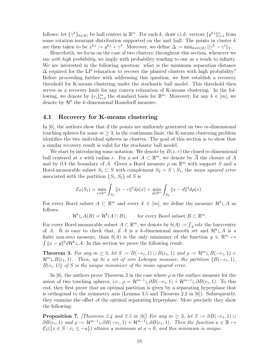follows: let  $\{\gamma^k\}_{k\in[K]}$  be ball centers in  $\mathbb{R}^m$ . For each k, draw i.i.d. vectors  $\{y^{k,i}\}_{i=1}^n$  from some rotation-invariant distribution supported on the unit ball. The points in cluster  $k$ are then taken to be  $x^{k,i} := y^{k,i} + \gamma^k$ . Moreover, we define  $\Delta := \min_{k \neq l \in [K]} ||\gamma^k - \gamma^l||_2$ .

Henceforth, we focus on the case of two clusters; throughout this section, whenever we say with high probability, we imply with probability tending to one as  $n$  tends to infinity. We are interested in the following question: what is the minimum separation distance  $\Delta$  required for the LP relaxation to recover the planted clusters with high probability? Before proceeding further with addressing this question, we first establish a recovery threshold for K-means clustering under the stochastic ball model. This threshold then serves as a recovery limit for any convex relaxation of K-means clustering. In the following, we denote by  $\{e_i\}_{i=1}^m$  the standard basis for  $\mathbb{R}^m$ . Moreover, for any  $k \in [m]$ , we denote by  $\mathcal{H}^k$  the k-dimensional Hausdorff measure.

#### 4.1 Recovery for K-means clustering

In  $|6|$ , the authors show that if the points are uniformly generated on two m-dimensional touching spheres for some  $m \geq 3$ , in the continuum limit, the K-means clustering problem identifies the two individual spheres as clusters. The goal of this section is to show that a similar recovery result is valid for the stochastic ball model.

We start by introducing some notation. We denote by  $B(x, r)$  the closed m-dimensional ball centered at x with radius r. For a set  $A \subset \mathbb{R}^m$ , we denote by  $\overline{A}$  the closure of A and by  $\partial A$  the boundary of A. Given a Borel measure  $\rho$  on  $\mathbb{R}^m$  with support S and a Borel-measurable subset  $S_1 \subset S$  with complement  $S_2 = S \setminus S_1$ , the mean squared error associated with the partition  $\{S_1, S_2\}$  of S is

$$
\mathcal{E}_S(S_1) = \min_{c \in \mathbb{R}^m} \int_{S_1} ||x - c||^2 d\rho(x) + \min_{d \in \mathbb{R}^m} \int_{S_2} ||x - d||^2 d\rho(x).
$$

For every Borel subset  $A \subset \mathbb{R}^m$  and every  $k \in [m]$ , we define the measure  $\mathcal{H}^k \mathcal{L} A$  as follows:

 $\mathcal{H}^k \mathcal{L}A(B) = \mathcal{H}^k(A \cap B),$  for every Borel subset  $B \subset \mathbb{R}^m$ .

For every Borel-measurable subset  $A \subset \mathbb{R}^m$ , we denote by  $b(A) := \int_A x dx$  the barycenter of A. It is easy to check that, if A is a k-dimensional smooth set and  $\mathcal{H}^k \sqcup A$  is a finite non-zero measure, than  $b(A)$  is the only minimizer of the function  $y \in \mathbb{R}^m \mapsto$  $\int ||x - y||^2 d\mathcal{H}^k \rvert A$ . In this section we prove the following result:

**Theorem 3.** For any  $m \geq 3$ , let  $S := B(-e_1, 1) \cup B(e_1, 1)$  and  $\rho := \mathcal{H}^m \cup B(-e_1, 1) +$  $\mathcal{H}^m \sqcup B(e_1, 1)$ . Then, up to a set of zero Lebesgue measure, the partition  $\{B(-e_1, 1),\}$  $B(e_1, 1)$  of S is the unique minimizer of the mean squared error.

In [6], the authors prove Theorem 3 in the case where  $\rho$  is the surface measure for the union of two touching spheres, i.e.,  $\rho = \mathcal{H}^{m-1} \cup \partial B(-e_1, 1) + \mathcal{H}^{m-1} \cup \partial B(e_1, 1)$ . To this end, they first prove that an optimal partition is given by a separating hyperplane that is orthogonal to the symmetry axis (Lemma 3.5 and Theorem 2.2 in  $[6]$ ). Subsequently, they examine the offset of the optimal separating hyperplane. More precisely they show the following:

**Proposition 7.** [Theorems 2.4 and 2.5 in [6]] For any  $m \geq 3$ , let  $S := \partial B(-e_1, 1) \cup$  $\partial B(e_1, 1)$  and  $\rho := \mathcal{H}^{m-1} \cup \partial B(-e_1, 1) + \mathcal{H}^{m-1} \cup \partial B(e_1, 1)$ . Then the function  $a \in \mathbb{R} \mapsto$  $\mathcal{E}_{S}(\{x \in S : x_1 \leq -a\})$  attains a minimum at  $a = 0$ , and this minimum is unique.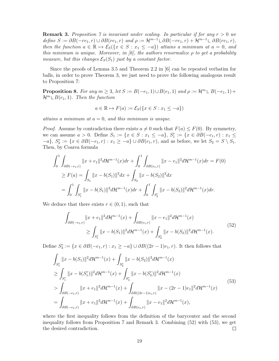**Remark 3.** Proposition 7 is invariant under scaling. In particular if for any  $r > 0$  we define  $S := \partial B(-re_1, r) \cup \partial B(re_1, r)$  and  $\rho := \mathcal{H}^{m-1} \cup \partial B(-re_1, r) + \mathcal{H}^{m-1} \cup \partial B(re_1, r)$ , then the function  $a \in \mathbb{R} \mapsto \mathcal{E}_S({x \in S : x_1 \le -a})$  attains a minimum at  $a = 0$ , and this minimum is unique. Moreover, in [6], the authors renormalize  $\rho$  to get a probability measure, but this changes  $\mathcal{E}_{S}(S_1)$  just by a constant factor.

Since the proofs of Lemma 3.5 and Theorem 2.2 in [6] can be repeated verbatim for balls, in order to prove Theorem 3, we just need to prove the following analogous result to Proposition 7:

**Proposition 8.** For any  $m \geq 3$ , let  $S := B(-e_1, 1) \cup B(e_1, 1)$  and  $\rho := \mathcal{H}^m \sqcup B(-e_1, 1) +$  $\mathcal{H}^m \cup B(e_1, 1)$ . Then the function

$$
a \in \mathbb{R} \mapsto F(a) := \mathcal{E}_S(\{x \in S : x_1 \le -a\})
$$

attains a minimum at  $a = 0$ , and this minimum is unique.

*Proof.* Assume by contradiction there exists  $a \neq 0$  such that  $F(a) \leq F(0)$ . By symmetry, we can assume  $a > 0$ . Define  $S_1 := \{x \in S : x_1 \leq -a\}$ ,  $S_1^r := \{x \in \partial B(-e_1, r) : x_1 \leq$  $\{-a\}, S_2^r := \{x \in \partial B(-e_1, r) : x_1 \geq -a\} \cup \partial B(e_1, r)$ , and as before, we let  $S_2 = S \setminus S_1$ . Then, by Coarea formula

$$
\int_0^1 \int_{\partial B(-e_1,r)} \|x + e_1\|^2 d\mathcal{H}^{m-1}(x) dr + \int_0^1 \int_{\partial B(e_1,r)} \|x - e_1\|^2 d\mathcal{H}^{m-1}(x) dr = F(0)
$$
  
\n
$$
\geq F(a) = \int_{S_1} \|x - b(S_1)\|^2 dx + \int_{S_2} \|x - b(S_2)\|^2 dx
$$
  
\n
$$
= \int_0^1 \int_{S_1^r} \|x - b(S_1)\|^2 d\mathcal{H}^{m-1}(x) dr + \int_0^1 \int_{S_2^r} \|x - b(S_2)\|^2 d\mathcal{H}^{m-1}(x) dr.
$$

We deduce that there exists  $r \in (0, 1)$ , such that

$$
\int_{\partial B(-e_1,r)} \|x + e_1\|^2 d\mathcal{H}^{m-1}(x) + \int_{\partial B(e_1,r)} \|x - e_1\|^2 d\mathcal{H}^{m-1}(x)
$$
\n
$$
\geq \int_{S_1^r} \|x - b(S_1)\|^2 d\mathcal{H}^{m-1}(x) + \int_{S_2^r} \|x - b(S_2)\|^2 d\mathcal{H}^{m-1}(x).
$$
\n(52)

Define  $S_3^r := \{x \in \partial B(-e_1, r) : x_1 \ge -a\} \cup \partial B((2r-1)e_1, r)$ . It then follows that

$$
\int_{S_1^r} \|x - b(S_1)\|^2 d\mathcal{H}^{m-1}(x) + \int_{S_2^r} \|x - b(S_2)\|^2 d\mathcal{H}^{m-1}(x)
$$
\n
$$
\geq \int_{S_1^r} \|x - b(S_1^r)\|^2 d\mathcal{H}^{m-1}(x) + \int_{S_3^r} \|x - b(S_3^r)\|^2 d\mathcal{H}^{m-1}(x)
$$
\n
$$
> \int_{\partial B(-e_1,r)} \|x + e_1\|^2 d\mathcal{H}^{m-1}(x) + \int_{\partial B((2r-1)e_1,r)} \|x - (2r-1)e_1\|^2 d\mathcal{H}^{m-1}(x)
$$
\n
$$
= \int_{\partial B(-e_1,r)} \|x + e_1\|^2 d\mathcal{H}^{m-1}(x) + \int_{\partial B(e_1,r)} \|x - e_1\|^2 d\mathcal{H}^{m-1}(x),
$$
\n(53)

where the first inequality follows from the definition of the barycenter and the second inequality follows from Proposition 7 and Remark 3. Combining (52) with (53), we get the desired contradiction.  $\Box$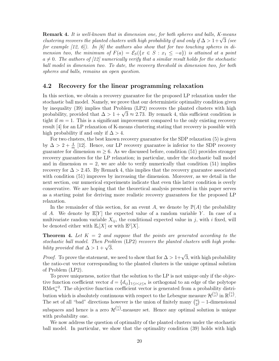**Remark 4.** It is well-known that in dimension one, for both spheres and balls, K-means clustering recovers the planted clusters with high probability if and only if  $\Delta > 1 + \sqrt{3}$  (see for example  $(12, 6)$ . In  $(6)$  the authors also show that for two touching spheres in dimension two, the minimum of  $F(a) = \mathcal{E}_S(\{x \in S : x_1 \leq -a\})$  is attained at a point  $a \neq 0$ . The authors of [12] numerically verify that a similar result holds for the stochastic ball model in dimension two. To date, the recovery threshold in dimension two, for both spheres and balls, remains an open question.

#### 4.2 Recovery for the linear programming relaxation

In this section, we obtain a recovery guarantee for the proposed LP relaxation under the stochastic ball model. Namely, we prove that our deterministic optimality condition given by inequality (39) implies that Problem (LP2) recovers the planted clusters with high probability, provided that  $\Delta > 1 + \sqrt{3} \approx 2.73$ . By remark 4, this sufficient condition is tight if  $m = 1$ . This is a significant improvement compared to the only existing recovery result [4] for an LP relaxation of K-means clustering stating that recovery is possible with high probability if and only if  $\Delta > 4$ .

For two clusters, the best known recovery guarantee for the SDP relaxation (5) is given by  $\Delta > 2 + \frac{4}{m}$  [12]. Hence, our LP recovery guarantee is inferior to the SDP recovery guarantee for dimension  $m \geq 6$ . As we discussed before, condition (51) provides stronger recovery guarantees for the LP relaxation; in particular, under the stochastic ball model and in dimension  $m = 2$ , we are able to verify numerically that condition (51) implies recovery for  $\Delta > 2.45$ . By Remark 4, this implies that the recovery guarantee associated with condition (51) improves by increasing the dimension. Moreover, as we detail in the next section, our numerical experiments indicate that even this latter condition is overly conservative. We are hoping that the theoretical analysis presented in this paper serves as a starting point for deriving more realistic recovery guarantees for the proposed LP relaxation.

In the remainder of this section, for an event A, we denote by  $\mathbb{P}(A)$  the probability of A. We denote by  $\mathbb{E}[Y]$  the expected value of a random variable Y. In case of a multivariate random variable  $X_{ij}$ , the conditional expected value in j, with i fixed, will be denoted either with  $\mathbb{E}_i[X]$  or with  $\mathbb{E}^j[X]$ .

**Theorem 4.** Let  $K = 2$  and suppose that the points are generated according to the stochastic ball model. Then Problem (LP2) recovers the planted clusters with high probability provided that  $\Delta > 1 + \sqrt{3}$ .

*Proof.* To prove the statement, we need to show that for  $\Delta > 1 + \sqrt{3}$ , with high probability the ratio-cut vector corresponding to the planted clusters is the unique optimal solution of Problem (LP2).

To prove uniqueness, notice that the solution to the LP is not unique only if the objective function coefficient vector  $d = \{d_{ij}\}_{1 \leq i < j \leq n}$  is orthogonal to an edge of the polytope  $RMet_n^{-2}$ . The objective function coefficient vector is generated from a probability distribution which is absolutely continuous with respect to the Lebesgue measure  $\mathcal{H}^{n \choose 2}$  in  $\mathbb{R}^{n \choose 2}$ . The set of all "bad" directions however is the union of finitely many  $\binom{n}{2}$  $\binom{n}{2}$  – 1-dimensional subspaces and hence is a zero  $\mathcal{H}^{(n)}$ -measure set. Hence any optimal solution is unique with probability one.

We now address the question of optimality of the planted clusters under the stochastic ball model. In particular, we show that the optimality condition (39) holds with high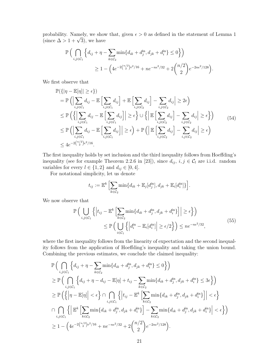probability. Namely, we show that, given  $\epsilon > 0$  as defined in the statement of Lemma 1 (since  $\Delta > 1 + \sqrt{3}$ ), we have

$$
\mathbb{P}\left(\bigcap_{i,j\in\mathcal{C}_1} \left\{d_{ij} + \eta - \sum_{k\in\mathcal{C}_2} \min\{d_{ik} + d_j^{\text{in}}, d_{jk} + d_i^{\text{in}}\} \le 0\right\}\right)
$$
  
 
$$
\ge 1 - \left(4e^{-2\binom{n/2}{2}\epsilon^2/16} + ne^{-n\epsilon^2/32} + 2\binom{n/2}{2}e^{-2n\epsilon^2/128}\right).
$$

We first observe that

$$
\mathbb{P}(\{|\eta - \mathbb{E}[\eta] | \geq \epsilon\})
$$
\n
$$
= \mathbb{P}\left(\left|\sum_{i,j \in \mathcal{C}_1} d_{ij} - \mathbb{E}\left[\sum_{i,j \in \mathcal{C}_1} d_{ij}\right] + \mathbb{E}\left[\sum_{i,j \in \mathcal{C}_2} d_{ij}\right] - \sum_{i,j \in \mathcal{C}_2} d_{ij}\right| \geq 2\epsilon\right)
$$
\n
$$
\leq \mathbb{P}\left(\left\{\left|\sum_{i,j \in \mathcal{C}_1} d_{ij} - \mathbb{E}\left[\sum_{i,j \in \mathcal{C}_1} d_{ij}\right] \right| \geq \epsilon\right\} \cup \left\{\left|\mathbb{E}\left[\sum_{i,j \in \mathcal{C}_2} d_{ij}\right] - \sum_{i,j \in \mathcal{C}_2} d_{ij}\right| \geq \epsilon\right\}\right)
$$
\n
$$
\leq \mathbb{P}\left(\left|\sum_{i,j \in \mathcal{C}_1} d_{ij} - \mathbb{E}\left[\sum_{i,j \in \mathcal{C}_1} d_{ij}\right] \right| \geq \epsilon\right) + \mathbb{P}\left(\left|\mathbb{E}\left[\sum_{i,j \in \mathcal{C}_2} d_{ij}\right] - \sum_{i,j \in \mathcal{C}_2} d_{ij}\right| \geq \epsilon\right)
$$
\n
$$
\leq 4e^{-2\binom{n/2}{2}\epsilon^2/16}.
$$
\n(54)

The first inequality holds by set inclusion and the third inequality follows from Hoeffding's inequality (see for example Theorem 2.2.6 in [23]), since  $d_{ij}$ ,  $i, j \in C_l$  are i.i.d. random variables for every  $l \in \{1, 2\}$  and  $d_{ij} \in [0, 4]$ .

For notational simplicity, let us denote

$$
t_{ij} := \mathbb{E}^k \left[ \sum_{k \in \mathcal{C}_2} \min \{ d_{ik} + \mathbb{E}_j[d_j^{\text{in}}], d_{jk} + \mathbb{E}_i[d_i^{\text{in}}] \} \right].
$$

We now observe that

$$
\mathbb{P}\left(\bigcup_{i,j\in\mathcal{C}_1}\left\{\left|t_{ij}-\mathbb{E}^k\left[\sum_{k\in\mathcal{C}_2}\min\{d_{ik}+d_j^{\text{in}},d_{jk}+d_i^{\text{in}}\}\right]\right|\geq\epsilon\right\}\right)
$$
\n
$$
\leq \mathbb{P}\left(\bigcup_{i\in\mathcal{C}_1}\left\{\left|d_i^{\text{in}}-\mathbb{E}_i[d_i^{\text{in}}]\right|\geq\epsilon/2\right\}\right)\leq ne^{-n\epsilon^2/32},\tag{55}
$$

where the first inequality follows from the linearity of expectation and the second inequality follows from the application of Hoeffding's inequality and taking the union bound. Combining the previous estimates, we conclude the claimed inequality:

$$
\mathbb{P}\Big(\bigcap_{i,j\in\mathcal{C}_{1}}\Big\{d_{ij} + \eta - \sum_{k\in\mathcal{C}_{2}}\min\{d_{ik} + d_{j}^{\text{in}}, d_{jk} + d_{i}^{\text{in}}\} \le 0\Big\}\Big) \n\ge \mathbb{P}\Big(\bigcap_{i,j\in\mathcal{C}_{1}}\Big\{d_{ij} + \eta - d_{ij} - \mathbb{E}[\eta] + t_{ij} - \sum_{k\in\mathcal{C}_{2}}\min\{d_{ik} + d_{j}^{\text{in}}, d_{jk} + d_{i}^{\text{in}}\} \le 3\epsilon\Big\}\Big) \n\ge \mathbb{P}\Big(\Big\{\Big|\eta - \mathbb{E}[\eta]\Big| < \epsilon\Big\} \cap \bigcap_{i,j\in\mathcal{C}_{1}}\Big\{\Big|t_{ij} - \mathbb{E}^{k}\Big[\sum_{k\in\mathcal{C}_{2}}\min\{d_{ik} + d_{j}^{\text{in}}, d_{jk} + d_{i}^{\text{in}}\}\Big| < \epsilon\Big\} \n\cap \bigcap_{i,j\in\mathcal{C}_{1}}\Big\{\Big|\mathbb{E}^{k}\Big[\sum_{k\in\mathcal{C}_{2}}\min\{d_{ik} + d_{j}^{\text{in}}, d_{jk} + d_{i}^{\text{in}}\}\Big| - \sum_{k\in\mathcal{C}_{2}}\min\{d_{ik} + d_{j}^{\text{in}}, d_{jk} + d_{i}^{\text{in}}\}\Big| < \epsilon\Big\}\Big) \n\ge 1 - \Big(4e^{-2\binom{n/2}{2}\epsilon^{2}/16} + ne^{-n\epsilon^{2}/32} + 2\binom{n/2}{2}e^{-2n\epsilon^{2}/128}\Big).
$$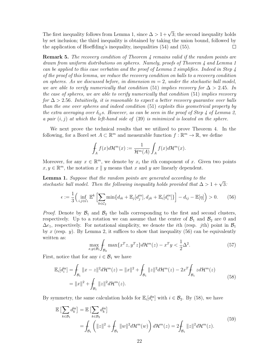The first inequality follows from Lemma 1, since  $\Delta > 1 + \sqrt{3}$ ; the second inequality holds by set inclusion; the third inequality is obtained by taking the union bound, followed by the application of Hoeffding's inequality, inequalities (54) and (55). П

**Remark 5.** The recovery condition of Theorem 4 remains valid if the random points are drawn from uniform distributions on spheres. Namely, proofs of Theorem 4 and Lemma 1 can be applied to this case verbatim and the proof of Lemma 2 simplifies. Indeed in Step  $\mu$ of the proof of this lemma, we reduce the recovery condition on balls to a recovery condition on spheres. As we discussed before, in dimension  $m = 2$ , under the stochastic ball model, we are able to verify numerically that condition (51) implies recovery for  $\Delta > 2.45$ . In the case of spheres, we are able to verify numerically that condition (51) implies recovery for  $\Delta > 2.56$ . Intuitively, it is reasonable to expect a better recovery guarantee over balls than the one over spheres and indeed condition (51) exploits this geometrical property by the extra averaging over  $\delta_{ij}$ s. However, as can be seen in the proof of Step 4 of Lemma 2, a pair  $(i, j)$  at which the left-hand side of  $(39)$  is minimized is located on the sphere.

We next prove the technical results that we utilized to prove Theorem 4. In the following, for a Borel set  $A \subset \mathbb{R}^m$  and measurable function  $f : \mathbb{R}^m \to \mathbb{R}$ , we define

$$
\int_A f(x) d\mathcal{H}^m(x) := \frac{1}{\mathcal{H}^m(A)} \int_A f(x) d\mathcal{H}^m(x).
$$

Moreover, for any  $x \in \mathbb{R}^m$ , we denote by  $x_i$  the *i*th component of x. Given two points  $x, y \in \mathbb{R}^m$ , the notation  $x \parallel y$  means that  $x$  and  $y$  are linearly dependent.

Lemma 1. Suppose that the random points are generated according to the stochastic ball model. Then the following inequality holds provided that  $\Delta > 1 + \sqrt{3}$ :

$$
\epsilon := \frac{1}{3} \Big( \inf_{i,j \in \mathcal{C}_1} \mathbb{E}^k \Big[ \sum_{k \in \mathcal{C}_2} \min \{ d_{ik} + \mathbb{E}_j[d_j^{in}], d_{jk} + \mathbb{E}_i[d_i^{in}] \} \Big] - d_{ij} - \mathbb{E}[\eta] \Big) > 0. \tag{56}
$$

*Proof.* Denote by  $\mathcal{B}_1$  and  $\mathcal{B}_2$  the balls corresponding to the first and second clusters, respectively. Up to a rotation we can assume that the center of  $\mathcal{B}_1$  and  $\mathcal{B}_2$  are 0 and  $\Delta e_1$ , respectively. For notational simplicity, we denote the *i*th (resp. *j*th) point in  $\mathcal{B}_1$ by x (resp. y). By Lemma 2, it suffices to show that inequality  $(56)$  can be equivalently written as:

$$
\max_{x,y \in \mathcal{B}_1} \int_{\mathcal{B}_2} \max \{ x^T z, y^T z \} d\mathcal{H}^m(z) - x^T y < \frac{1}{2} \Delta^2. \tag{57}
$$

First, notice that for any  $i \in \mathcal{B}_1$  we have

$$
\mathbb{E}_{i}[d_{i}^{\text{in}}] = \int_{\mathcal{B}_{1}} \|x - z\|^{2} d\mathcal{H}^{m}(z) = \|x\|^{2} + \int_{\mathcal{B}_{1}} \|z\|^{2} d\mathcal{H}^{m}(z) - 2x^{T} \int_{\mathcal{B}_{1}} z d\mathcal{H}^{m}(z)
$$
\n
$$
= \|x\|^{2} + \int_{\mathcal{B}_{1}} \|z\|^{2} d\mathcal{H}^{m}(z).
$$
\n(58)

By symmetry, the same calculation holds for  $\mathbb{E}_i[d_i^{\text{in}}]$  with  $i \in \mathcal{B}_2$ . By (58), we have

$$
\mathbb{E}\left[\sum_{k\in\mathcal{B}_1} d_k^{\text{in}}\right] = \mathbb{E}\left[\sum_{k\in\mathcal{B}_2} d_k^{\text{in}}\right] \n= \int_{\mathcal{B}_1} \left( \|z\|^2 + \int_{\mathcal{B}_1} \|w\|^2 d\mathcal{H}^m(w) \right) d\mathcal{H}^m(z) = 2 \int_{\mathcal{B}_1} \|z\|^2 d\mathcal{H}^m(z).
$$
\n(59)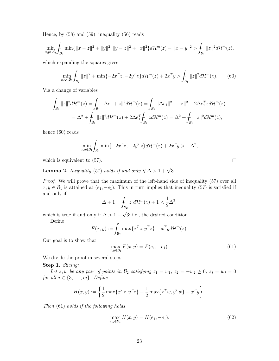Hence, by (58) and (59), inequality (56) reads

$$
\min_{x,y\in\mathcal{B}_1}\int_{\mathcal{B}_2}\min\{\|x-z\|^2+\|y\|^2,\|y-z\|^2+\|x\|^2\}d\mathcal{H}^m(z)-\|x-y\|^2>\int_{\mathcal{B}_1}\|z\|^2d\mathcal{H}^m(z),
$$

which expanding the squares gives

$$
\min_{x,y\in\mathcal{B}_1}\int_{\mathcal{B}_2}||z||^2 + \min\{-2x^Tz, -2y^Tz\}d\mathcal{H}^m(z) + 2x^Ty > \int_{\mathcal{B}_1}||z||^2d\mathcal{H}^m(z).
$$
 (60)

Via a change of variables

$$
\int_{\mathcal{B}_2} ||z||^2 d\mathcal{H}^m(z) = \int_{\mathcal{B}_1} ||\Delta e_1 + z||^2 d\mathcal{H}^m(z) = \int_{\mathcal{B}_1} ||\Delta e_1||^2 + ||z||^2 + 2\Delta e_1^T z d\mathcal{H}^m(z)
$$
\n
$$
= \Delta^2 + \int_{\mathcal{B}_1} ||z||^2 d\mathcal{H}^m(z) + 2\Delta e_1^T \int_{\mathcal{B}_1} z d\mathcal{H}^m(z) = \Delta^2 + \int_{\mathcal{B}_1} ||z||^2 d\mathcal{H}^m(z),
$$

hence (60) reads

$$
\min_{x,y \in \mathcal{B}_1} \int_{\mathcal{B}_2} \min \{-2x^T z, -2y^T z\} d\mathcal{H}^m(z) + 2x^T y > -\Delta^2,
$$

which is equivalent to (57).

**Lemma 2.** Inequality (57) holds if and only if  $\Delta > 1 + \sqrt{3}$ .

Proof. We will prove that the maximum of the left-hand side of inequality (57) over all  $x, y \in \mathcal{B}_1$  is attained at  $(e_1, -e_1)$ . This in turn implies that inequality (57) is satisfied if and only if

$$
\Delta+1=\!\int_{\mathcal{B}_2}z_1d\mathcal{H}^m(z)+1<\frac{1}{2}\Delta^2,
$$

which is true if and only if  $\Delta > 1 + \sqrt{3}$ ; i.e., the desired condition.

Define

$$
F(x,y) := \int_{\mathcal{B}_2} \max\{x^T z, y^T z\} - x^T y d\mathcal{H}^m(z).
$$

Our goal is to show that

$$
\max_{x,y \in \mathcal{B}_1} F(x,y) = F(e_1, -e_1).
$$
\n(61)

We divide the proof in several steps:

Step 1. Slicing:

Let z, w be any pair of points in  $\mathcal{B}_2$  satisfying  $z_1 = w_1$ ,  $z_2 = -w_2 \geq 0$ ,  $z_j = w_j = 0$ for all  $j \in \{3, \ldots, m\}$ . Define

$$
H(x,y) := \left\{ \frac{1}{2} \max \{ x^T z, y^T z \} + \frac{1}{2} \max \{ x^T w, y^T w \} - x^T y \right\}.
$$

Then (61) holds if the following holds

$$
\max_{x,y \in \mathcal{B}_1} H(x,y) = H(e_1, -e_1).
$$
\n(62)

 $\Box$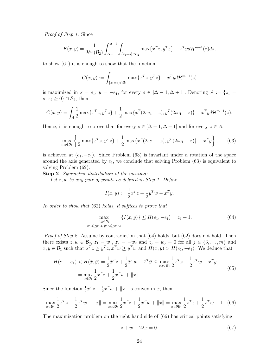Proof of Step 1. Since

$$
F(x,y) = \frac{1}{\mathcal{H}^m(\mathcal{B}_2)} \int_{\Delta - 1}^{\Delta + 1} \int_{\{z_1 = s\} \cap \mathcal{B}_2} \max\{x^T z, y^T z\} - x^T y d\mathcal{H}^{m-1}(z) ds,
$$

to show (61) it is enough to show that the function

$$
G(x,y) := \int_{\{z_1 = s\} \cap \mathcal{B}_2} \max\{x^T z, y^T z\} - x^T y d\mathcal{H}^{m-1}(z)
$$

is maximized in  $x = e_1$ ,  $y = -e_1$ , for every  $s \in [\Delta - 1, \Delta + 1]$ . Denoting  $A := \{z_1 =$ s,  $z_2 \geq 0$ } ∩  $\mathcal{B}_2$ , then

$$
G(x,y) = \int_A \frac{1}{2} \max\{x^T z, y^T z\} + \frac{1}{2} \max\{x^T (2se_1 - z), y^T (2se_1 - z)\} - x^T y d\mathcal{H}^{m-1}(z).
$$

Hence, it is enough to prove that for every  $s \in [\Delta - 1, \Delta + 1]$  and for every  $z \in A$ ,

$$
\max_{x,y\in\mathcal{B}_1} \left\{ \frac{1}{2} \max\{x^T z, y^T z\} + \frac{1}{2} \max\{x^T (2se_1 - z), y^T (2se_1 - z)\} - x^T y \right\},\qquad(63)
$$

is achieved at  $(e_1, -e_1)$ . Since Problem (63) is invariant under a rotation of the space around the axis generated by  $e_1$ , we conclude that solving Problem  $(63)$  is equivalent to solving Problem (62).

Step 2. Symmetric distribution of the maxima:

Let  $z, w$  be any pair of points as defined in Step 1. Define

$$
I(x,y) := \frac{1}{2}x^{T}z + \frac{1}{2}y^{T}w - x^{T}y.
$$

In order to show that (62) holds, it suffices to prove that

$$
\max_{\substack{x,y \in \mathcal{B}_1 \\ x^T z \ge y^T z, y^T w \ge x^T w}} \{I(x,y)\} \le H(e_1, -e_1) = z_1 + 1. \tag{64}
$$

Proof of Step 2. Assume by contradiction that  $(64)$  holds, but  $(62)$  does not hold. Then there exists  $z, w \in \mathcal{B}_2$ ,  $z_1 = w_1$ ,  $z_2 = -w_2$  and  $z_j = w_j = 0$  for all  $j \in \{3, \ldots, m\}$  and  $\bar{x}, \bar{y} \in \mathcal{B}_1$  such that  $\bar{x}^T z \ge \bar{y}^T z$ ,  $\bar{x}^T w \ge \bar{y}^T w$  and  $H(\bar{x}, \bar{y}) > H(e_1, -e_1)$ . We deduce that

$$
H(e_1, -e_1) < H(\bar{x}, \bar{y}) = \frac{1}{2}\bar{x}^T z + \frac{1}{2}\bar{x}^T w - \bar{x}^T \bar{y} \le \max_{x, y \in \mathcal{B}_1} \frac{1}{2} x^T z + \frac{1}{2} x^T w - x^T y
$$
\n
$$
= \max_{x \in \mathcal{B}_1} \frac{1}{2} x^T z + \frac{1}{2} x^T w + \|x\|.
$$
\n
$$
(65)
$$

Since the function  $\frac{1}{2}x^Tz + \frac{1}{2}$  $\frac{1}{2}x^Tw + ||x||$  is convex in x, then

$$
\max_{x \in \mathcal{B}_1} \frac{1}{2} x^T z + \frac{1}{2} x^T w + ||x|| = \max_{x \in \partial \mathcal{B}_1} \frac{1}{2} x^T z + \frac{1}{2} x^T w + ||x|| = \max_{x \in \partial \mathcal{B}_1} \frac{1}{2} x^T z + \frac{1}{2} x^T w + 1. \tag{66}
$$

The maximization problem on the right hand side of (66) has critical points satisfying

$$
z + w + 2\lambda x = 0.\t\t(67)
$$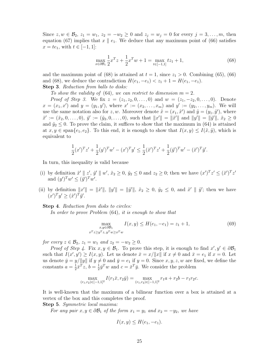Since  $z, w \in \mathcal{B}_2$ ,  $z_1 = w_1$ ,  $z_2 = -w_2 \ge 0$  and  $z_j = w_j = 0$  for every  $j = 3, ..., m$ , then equation (67) implies that  $x \parallel e_1$ . We deduce that any maximum point of (66) satisfies  $x = te_1$ , with  $t \in [-1, 1]$ :

$$
\max_{x \in \partial B_1} \frac{1}{2} x^T z + \frac{1}{2} x^T w + 1 = \max_{t \in [-1,1]} t z_1 + 1,\tag{68}
$$

and the maximum point of (68) is attained at  $t = 1$ , since  $z_1 > 0$ . Combining (65), (66) and (68), we deduce the contradiction  $H(e_1, -e_1) < z_1 + 1 = H(e_1, -e_1)$ . Step 3. Reduction from balls to disks:

To show the validity of (64), we can restrict to dimension  $m = 2$ .

*Proof of Step 3.* We fix  $z = (z_1, z_2, 0, \ldots, 0)$  and  $w = (z_1, -z_2, 0, \ldots, 0)$ . Denote  $x = (x_1, x')$  and  $y = (y_1, y')$ , where  $x' := (x_2, \ldots, x_m)$  and  $y' := (y_2, \ldots, y_m)$ . We will use the same notation also for z, w. Moreover denote  $\tilde{x} = (x_1, \tilde{x}')$  and  $\tilde{y} = (y_1, \tilde{y}')$ , where  $\tilde{x}' := (\tilde{x}_2, 0, \ldots, 0), \ \tilde{y}' := (\tilde{y}_2, 0, \ldots, 0), \text{ such that } ||x'|| = ||\tilde{x}'|| \text{ and } ||y'|| = ||\tilde{y}'||, \ \tilde{x}_2 \ge 0$ and  $\tilde{y}_2 \leq 0$ . To prove the claim, it suffices to show that the maximum in (64) is attained at  $x, y \in \text{span}\{e_1, e_2\}$ . To this end, it is enough to show that  $I(x, y) \leq I(\tilde{x}, \tilde{y})$ , which is equivalent to

$$
\frac{1}{2}(x')^T z' + \frac{1}{2}(y')^T w' - (x')^T y' \le \frac{1}{2}(\tilde{x}')^T z' + \frac{1}{2}(\tilde{y}')^T w' - (\tilde{x}')^T \tilde{y}'.
$$

In turn, this inequality is valid because

- (i) by definition  $\tilde{x}' \parallel z'$ ,  $\tilde{y}' \parallel w'$ ,  $\tilde{x}_2 \geq 0$ ,  $\tilde{y}_2 \leq 0$  and  $z_2 \geq 0$ ; then we have  $(x')^T z' \leq (\tilde{x}')^T z'$ and  $(y')^T w' \leq (\tilde{y}')^T w'.$
- (ii) by definition  $||x'|| = ||\tilde{x}||$ ,  $||y'|| = ||\tilde{y}||$ ,  $\tilde{x}_2 \geq 0$ ,  $\tilde{y}_2 \leq 0$ , and  $\tilde{x}' || \tilde{y}'$ ; then we have  $(x')^T y' \geq (\tilde{x}')^T \tilde{y}'.$

#### Step 4. Reduction from disks to circles:

In order to prove Problem (64), it is enough to show that

$$
\max_{\substack{x,y \in \partial B_1 \\ x^T z \ge y^T z, y^T w \ge x^T w}} I(x,y) \le H(e_1, -e_1) = z_1 + 1,\tag{69}
$$

for every  $z \in \mathcal{B}_2$ ,  $z_1 = w_1$  and  $z_2 = -w_2 \geq 0$ .

*Proof of Step 4.* Fix  $x, y \in \mathcal{B}_1$ . To prove this step, it is enough to find  $x', y' \in \partial \mathcal{B}_1$ such that  $I(x', y') \geq I(x, y)$ . Let us denote  $\bar{x} = x/\Vert x \Vert$  if  $x \neq 0$  and  $\bar{x} = e_1$  if  $x = 0$ . Let us denote  $\bar{y} = y/||y||$  if  $y \neq 0$  and  $\bar{y} = e_1$  if  $y = 0$ . Since  $x, y, z, w$  are fixed, we define the constants  $a=\frac{1}{2}$  $\frac{1}{2}\bar{x}^T z, b = \frac{1}{2}$  $\frac{1}{2}\bar{y}^T w$  and  $c = \bar{x}^T \bar{y}$ . We consider the problem

$$
\max_{(r_1,r_2)\in[-1,1]^2} I(r_1\bar{x},r_2\bar{y}) = \max_{(r_1,r_2)\in[-1,1]^2} r_1a + r_2b - r_1r_2c.
$$

It is well-known that the maximum of a bilinear function over a box is attained at a vertex of the box and this completes the proof.

Step 5. Symmetric local maxima:

For any pair  $x, y \in \partial \mathcal{B}_1$  of the form  $x_1 = y_1$  and  $x_2 = -y_2$ , we have

$$
I(x,y) \le H(e_1, -e_1).
$$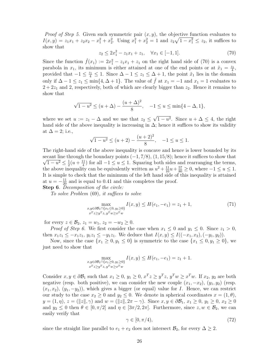*Proof of Step 5.* Given such symmetric pair  $(x, y)$ , the objective function evaluates to  $I(x,y) = z_1x_1 + z_2x_2 - x_1^2 + x_2^2$ . Using  $x_1^2 + x_2^2 = 1$  and  $z_2\sqrt{1-x_1^2} \le z_2$ , it suffices to show that

$$
z_2 \le 2x_1^2 - z_1 x_1 + z_1, \quad \forall x_1 \in [-1, 1]. \tag{70}
$$

Since the function  $\hat{f}(x_1) := 2x_1^2 - z_1x_1 + z_1$  on the right hand side of (70) is a convex parabola in  $x_1$ , its minimum is either attained at one of the end points or at  $\tilde{x}_1 = \frac{z_1}{4}$ , provided that  $-1 \leq \frac{z_1}{4} \leq 1$ . Since  $\Delta - 1 \leq z_1 \leq \Delta + 1$ , the point  $\tilde{x}_1$  lies in the domain only if  $\Delta - 1 \le z_1 \le \min\{4, \Delta + 1\}$ . The value of  $\hat{f}$  at  $x_1 = -1$  and  $x_1 = 1$  evaluates to  $2 + 2z<sub>1</sub>$  and 2, respectively, both of which are clearly bigger than  $z<sub>2</sub>$ . Hence it remains to show that

$$
\sqrt{1-u^2} \le (u+\Delta) - \frac{(u+\Delta)^2}{8}, \quad -1 \le u \le \min\{4-\Delta, 1\},\
$$

where we set  $u := z_1 - \Delta$  and we use that  $z_2 \leq \sqrt{1 - u^2}$ . Since  $u + \Delta \leq 4$ , the right hand side of the above inequality is increasing in  $\Delta$ ; hence it suffices to show its validity at  $\Delta = 2$ ; i.e.,

$$
\sqrt{1 - u^2} \le (u + 2) - \frac{(u + 2)^2}{8}, \quad -1 \le u \le 1.
$$

The right-hand side of the above inequality is concave and hence is lower bounded by its  $\sqrt{1-u^2} \leq \frac{1}{2}$ secant line through the boundary points  $(-1, 7/8)$ ,  $(1, 15/8)$ ; hence it suffices to show that  $rac{1}{2}(u + \frac{11}{4})$  $\frac{11}{4}$ ) for all  $-1 \le u \le 1$ . Squaring both sides and rearranging the terms, the above inequality can be equivalently written as  $u^2 + \frac{11}{10}u + \frac{57}{80} \ge 0$ , where  $-1 \le u \le 1$ . It is simple to check that the minimum of the left hand side of this inequality is attained at  $u = -\frac{11}{20}$  and is equal to 0.41 and this completes the proof.

Step 6. Decomposition of the circle:

To solve Problem (69), it suffices to solve

$$
\max_{\substack{x,y \in \partial \mathcal{B}_1 \cap \{x_1 \le 0, y_1 \ge 0\} \\ x^T z \ge y^T z, y^T w \ge x^T w}} I(x,y) \le H(e_1, -e_1) = z_1 + 1,\tag{71}
$$

for every  $z \in \mathcal{B}_2$ ,  $z_1 = w_1$ ,  $z_2 = -w_2 \geq 0$ .

*Proof of Step 6.* We first consider the case when  $x_1 \leq 0$  and  $y_1 \leq 0$ . Since  $z_1 > 0$ , then  $x_1z_1 \leq -x_1z_1, y_1z_1 \leq -y_1z_1$ . We deduce that  $I(x, y) \leq I((-x_1, x_2), (-y_1, y_2))$ .

Now, since the case  $\{x_1 \geq 0, y_1 \leq 0\}$  is symmetric to the case  $\{x_1 \leq 0, y_1 \geq 0\}$ , we just need to show that

$$
\max_{\substack{x,y \in \partial B_1 \cap \{x_1 \ge 0, y_1 \ge 0\} \\ x^T z \ge y^T z, y^T w \ge x^T w}} I(x,y) \le H(e_1, -e_1) = z_1 + 1.
$$

Consider  $x, y \in \partial \mathcal{B}_1$  such that  $x_1 \geq 0$ ,  $y_1 \geq 0$ ,  $x^T z \geq y^T z$ ,  $y^T w \geq x^T w$ . If  $x_2, y_2$  are both negative (resp. both positive), we can consider the new couple  $(x_1, -x_2), (y_1, y_2)$  (resp.  $(x_1, x_2), (y_1, -y_2)$ , which gives a bigger (or equal) value for I. Hence, we can restrict our study to the case  $x_2 \geq 0$  and  $y_2 \leq 0$ . We denote in spherical coordinates  $x = (1, \theta)$ ,  $y = (1, \eta), z = (\Vert z \Vert, \gamma)$  and  $w = (\Vert z \Vert, 2\pi - \gamma)$ . Since  $x, y \in \partial \mathcal{B}_1, x_1 \geq 0, y_1 \geq 0, x_2 \geq 0$ and  $y_2 \leq 0$  then  $\theta \in [0, \pi/2]$  and  $\eta \in [3\pi/2, 2\pi]$ . Furthermore, since  $z, w \in \mathcal{B}_2$ , we can easily verify that

$$
\gamma \in [0, \pi/4),\tag{72}
$$

since the straight line parallel to  $e_1 + e_2$  does not intersect  $\mathcal{B}_2$ , for every  $\Delta \geq 2$ .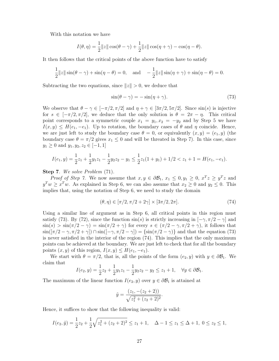With this notation we have

$$
I(\theta, \eta) = \frac{1}{2} ||z|| \cos(\theta - \gamma) + \frac{1}{2} ||z|| \cos(\eta + \gamma) - \cos(\eta - \theta).
$$

It then follows that the critical points of the above function have to satisfy

$$
\frac{1}{2}||z||\sin(\theta - \gamma) + \sin(\eta - \theta) = 0, \text{ and } -\frac{1}{2}||z||\sin(\eta + \gamma) + \sin(\eta - \theta) = 0.
$$

Subtracting the two equations, since  $||z|| > 0$ , we deduce that

$$
\sin(\theta - \gamma) = -\sin(\eta + \gamma). \tag{73}
$$

We observe that  $\theta - \gamma \in [-\pi/2, \pi/2]$  and  $\eta + \gamma \in [3\pi/2, 5\pi/2]$ . Since  $\sin(s)$  is injective for  $s \in [-\pi/2, \pi/2]$ , we deduce that the only solution is  $\theta = 2\pi - \eta$ . This critical point corresponds to a symmetric couple  $x_1 = y_1, x_2 = -y_2$  and by Step 5 we have  $I(x, y) \leq H(e_1, -e_1)$ . Up to rotation, the boundary cases of  $\theta$  and  $\eta$  coincide. Hence, we are just left to study the boundary case  $\theta = 0$ , or equivalently  $(x, y) = (e_1, y)$  (the boundary case  $\theta = \pi/2$  gives  $x_1 \leq 0$  and will be threated in Step 7). In this case, since  $y_1 \geq 0$  and  $y_1, y_2, z_2 \in [-1, 1]$ 

$$
I(e_1, y) = \frac{1}{2}z_1 + \frac{1}{2}y_1z_1 - \frac{1}{2}y_2z_2 - y_1 \le \frac{1}{2}z_1(1 + y_1) + 1/2 < z_1 + 1 = H(e_1, -e_1).
$$

#### Step 7. We solve Problem (71).

*Proof of Step 7.* We now assume that  $x, y \in \partial \mathcal{B}_1$ ,  $x_1 \leq 0, y_1 \geq 0$ ,  $x^T z \geq y^T z$  and  $y^T w \ge x^T w$ . As explained in Step 6, we can also assume that  $x_2 \ge 0$  and  $y_2 \le 0$ . This implies that, using the notation of Step 6, we need to study the domain

$$
(\theta, \eta) \in [\pi/2, \pi/2 + 2\gamma] \times [3\pi/2, 2\pi]. \tag{74}
$$

Using a similar line of argument as in Step 6, all critical points in this region must satisfy (73). By (72), since the function  $\sin(s)$  is strictly increasing in  $[-\gamma, \pi/2 - \gamma]$  and  $\sin(s) > \sin(\pi/2 - \gamma) = \sin(\pi/2 + \gamma)$  for every  $s \in (\pi/2 - \gamma, \pi/2 + \gamma)$ , it follows that  $\sin([\pi/2-\gamma,\pi/2+\gamma]) \cap \sin([-\gamma,\pi/2-\gamma]) = {\sin(\pi/2-\gamma)}$  and that the equation (73) is never satisfied in the interior of the region (74). This implies that the only maximum points can be achieved at the boundary. We are just left to check that for all the boundary points  $(x, y)$  of this region,  $I(x, y) \leq H(e_1, -e_1)$ .

We start with  $\theta = \pi/2$ , that is, all the points of the form  $(e_2, y)$  with  $y \in \partial \mathcal{B}_1$ . We claim that

$$
I(e_2, y) = \frac{1}{2}z_2 + \frac{1}{2}y_1z_1 - \frac{1}{2}y_2z_2 - y_2 \le z_1 + 1, \quad \forall y \in \partial \mathcal{B}_1.
$$

The maximum of the linear function  $I(e_2, y)$  over  $y \in \partial \mathcal{B}_1$  is attained at

$$
\tilde{y} = \frac{(z_1, -(z_2 + 2))}{\sqrt{z_1^2 + (z_2 + 2)^2}}.
$$

Hence, it suffices to show that the following inequality is valid:

$$
I(e_2, \tilde{y}) = \frac{1}{2}z_2 + \frac{1}{2}\sqrt{z_1^2 + (z_2 + 2)^2} \le z_1 + 1, \quad \Delta - 1 \le z_1 \le \Delta + 1, \ 0 \le z_2 \le 1,
$$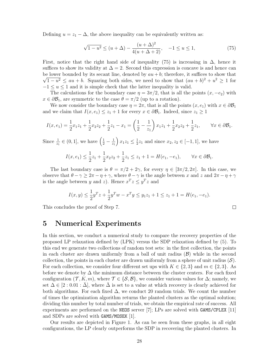Defining  $u = z_1 - \Delta$ , the above inequality can be equivalently written as:

$$
\sqrt{1 - u^2} \le (u + \Delta) - \frac{(u + \Delta)^2}{4(u + \Delta + 2)}, \quad -1 \le u \le 1,
$$
\n(75)

First, notice that the right hand side of inequality (75) is increasing in  $\Delta$ , hence it suffices to show its validity at  $\Delta = 2$ . Second this expression is concave is and hence can be lower bounded by its secant line, denoted by  $au + b$ ; therefore, it suffices to show that  $\sqrt{1-u^2} \le au + b$ . Squaring both sides, we need to show that  $(au + b)^2 + u^2 \ge 1$  for  $-1 \le u \le 1$  and it is simple check that the latter inequality is valid.

The calculations for the boundary case  $\eta = 3\pi/2$ , that is all the points  $(x, -e_2)$  with  $x \in \partial \mathcal{B}_1$ , are symmetric to the case  $\theta = \pi/2$  (up to a rotation).

We now consider the boundary case  $\eta = 2\pi$ , that is all the points  $(x, e_1)$  with  $x \in \partial \mathcal{B}_1$ and we claim that  $I(x, e_1) \leq z_1 + 1$  for every  $x \in \partial \mathcal{B}_1$ . Indeed, since  $z_1 \geq 1$ 

$$
I(x, e_1) = \frac{1}{2}x_1z_1 + \frac{1}{2}x_2z_2 + \frac{1}{2}z_1 - x_1 = \left(\frac{1}{2} - \frac{1}{z_1}\right)x_1z_1 + \frac{1}{2}x_2z_2 + \frac{1}{2}z_1, \qquad \forall x \in \partial \mathcal{B}_1.
$$

Since  $\frac{1}{z_1} \in (0,1]$ , we have  $\left(\frac{1}{2} - \frac{1}{z_1}\right)$  $z_1$  $\int x_1 z_1 \leq \frac{1}{2}$  $\frac{1}{2}z_1$  and since  $x_2, z_2 \in [-1, 1]$ , we have

$$
I(x, e_1) \le \frac{1}{2}z_1 + \frac{1}{2}x_2z_2 + \frac{1}{2}z_1 \le z_1 + 1 = H(e_1, -e_1), \quad \forall x \in \partial \mathcal{B}_1.
$$

The last boundary case is  $\theta = \pi/2 + 2\gamma$ , for every  $\eta \in [3\pi/2, 2\pi]$ . In this case, we observe that  $\theta - \gamma \geq 2\pi - \eta + \gamma$ , where  $\theta - \gamma$  is the angle between x and z and  $2\pi - \eta + \gamma$ is the angle between y and z). Hence  $x^T z \le y^T z$  and

$$
I(x,y) \le \frac{1}{2}y^T z + \frac{1}{2}y^T w - x^T y \le y_1 z_1 + 1 \le z_1 + 1 = H(e_1, -e_1).
$$

 $\Box$ 

This concludes the proof of Step 7.

5 Numerical Experiments

In this section, we conduct a numerical study to compare the recovery properties of the proposed LP relaxation defined by (LPK) versus the SDP relaxation defined by (5). To this end we generate two collections of random test sets: in the first collection, the points in each cluster are drawn uniformly from a ball of unit radius  $(\mathcal{B})$  while in the second collection, the points in each cluster are drawn uniformly from a sphere of unit radius  $(S)$ . For each collection, we consider four different set ups with  $K \in \{2,3\}$  and  $m \in \{2,3\}$ . As before we denote by  $\Delta$  the minimum distance between the cluster centers. For each fixed configuration  $(\mathcal{T}, K, m)$ , where  $\mathcal{T} \in \{S, \mathcal{B}\}\$ , we consider various values for  $\Delta$ ; namely, we set  $\Delta \in [2:0.01:\Delta]$ , where  $\Delta$  is set to a value at which recovery is clearly achieved for both algorithms. For each fixed  $\Delta$ , we conduct 20 random trials. We count the number of times the optimization algorithm returns the planted clusters as the optimal solution; dividing this number by total number of trials, we obtain the empirical rate of success. All experiments are performed on the NEOS server [7]; LPs are solved with GAMS/CPLEX [11] and SDPs are solved with GAMS/MOSEK [1].

Our results are depicted in Figure 1. As can be seen from these graphs, in all eight configurations, the LP clearly outperforms the SDP in recovering the planted clusters. In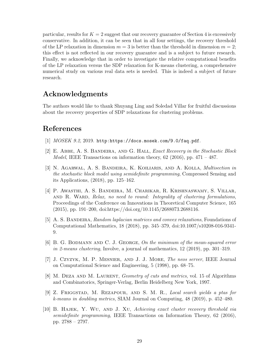particular, results for  $K = 2$  suggest that our recovery guarantee of Section 4 is excessively conservative. In addition, it can be seen that in all four settings, the recovery threshold of the LP relaxation in dimension  $m = 3$  is better than the threshold in dimension  $m = 2$ ; this effect is not reflected in our recovery guarantee and is a subject to future research. Finally, we acknowledge that in order to investigate the relative computational benefits of the LP relaxation versus the SDP relaxation for K-means clustering, a comprehensive numerical study on various real data sets is needed. This is indeed a subject of future research.

## Acknowledgments

The authors would like to thank Shuyang Ling and Soledad Villar for fruitful discussions about the recovery properties of SDP relaxations for clustering problems.

## References

- [1] MOSEK 9.2, 2019. http:https://docs.mosek.com/9.0/faq.pdf.
- [2] E. Abbe, A. S. Bandeira, and G. Hall, Exact Recovery in the Stochastic Block *Model*, IEEE Transactions on information theory, 62 (2016), pp.  $471 - 487$ .
- [3] N. Agarwal, A. S. Bandeira, K. Koiliaris, and A. Kolla, Multisection in the stochastic block model using semidefinite programming, Compressed Sensing and its Applications, (2018), pp. 125–162.
- [4] P. Awasthi, A. S. Bandeira, M. Charikar, R. Krishnaswamy, S. Villar, AND R. WARD, Relax, no need to round: Integrality of clustering formulations, Proceedings of the Conference on Innovations in Theoretical Computer Science, 165 (2015), pp. 191–200, doi:https://doi.org/10.1145/2688073.2688116.
- [5] A. S. BANDEIRA, Random laplacian matrices and convex relaxations, Foundations of Computational Mathematics, 18 (2018), pp. 345–379, doi:10.1007/s10208-016-9341- 9.
- [6] B. G. BODMANN AND C. J. GEORGE, On the minimum of the mean-squared error in 2-means clustering, Involve, a journal of mathematics, 12 (2019), pp. 301–319.
- [7] J. Czyzyk, M. P. Mesnier, and J. J. More, The neos server, IEEE Journal on Computational Science and Engineering, 5 (1998), pp. 68–75.
- [8] M. DEZA AND M. LAURENT, *Geometry of cuts and metrics*, vol. 15 of Algorithms and Combinatorics, Springer-Verlag, Berlin Heidelberg New York, 1997.
- [9] Z. Friggstad, M. Rezapour, and S. M. R., Local search yields a ptas for k-means in doubling metrics, SIAM Journal on Computing, 48 (2019), p. 452–480.
- [10] B. Hajek, Y. Wu, and J. Xu, Achieving exact cluster recovery threshold via semidefinite programming, IEEE Transactions on Information Theory, 62 (2016), pp. 2788 – 2797.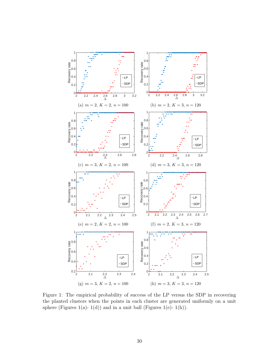

Figure 1: The empirical probability of success of the LP versus the SDP in recovering the planted clusters when the points in each cluster are generated uniformly on a unit sphere (Figures 1(a)- 1(d)) and in a unit ball (Figures 1(e)- 1(h)).